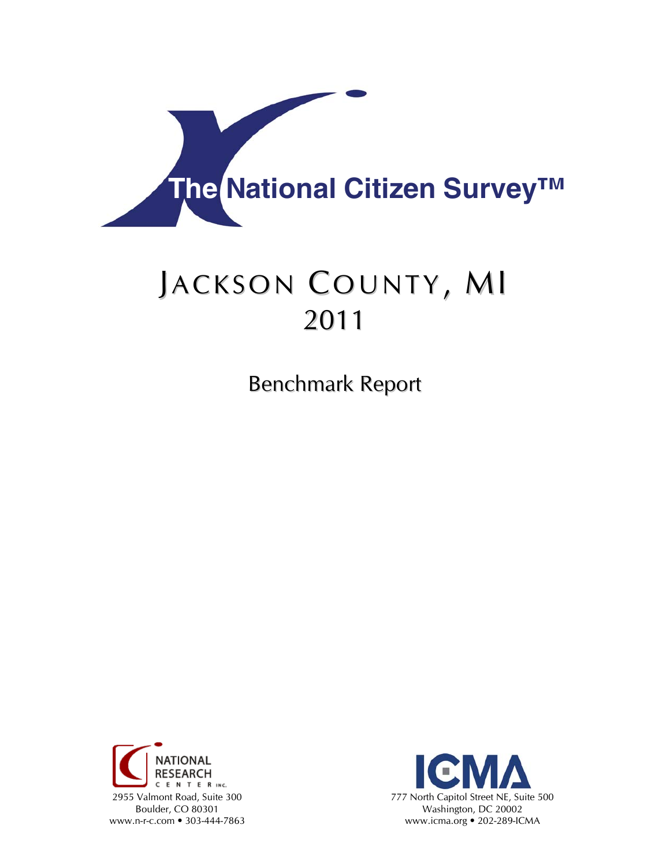

# JACKSON COUNTY, MI 2011

Benchmark Report



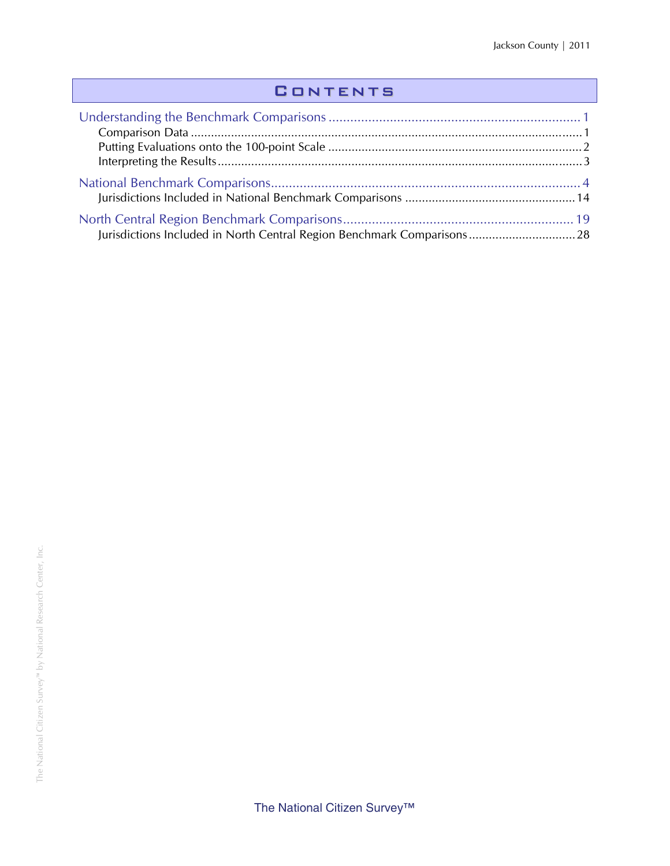### **CONTENTS**

| Jurisdictions Included in North Central Region Benchmark Comparisons 28 |  |
|-------------------------------------------------------------------------|--|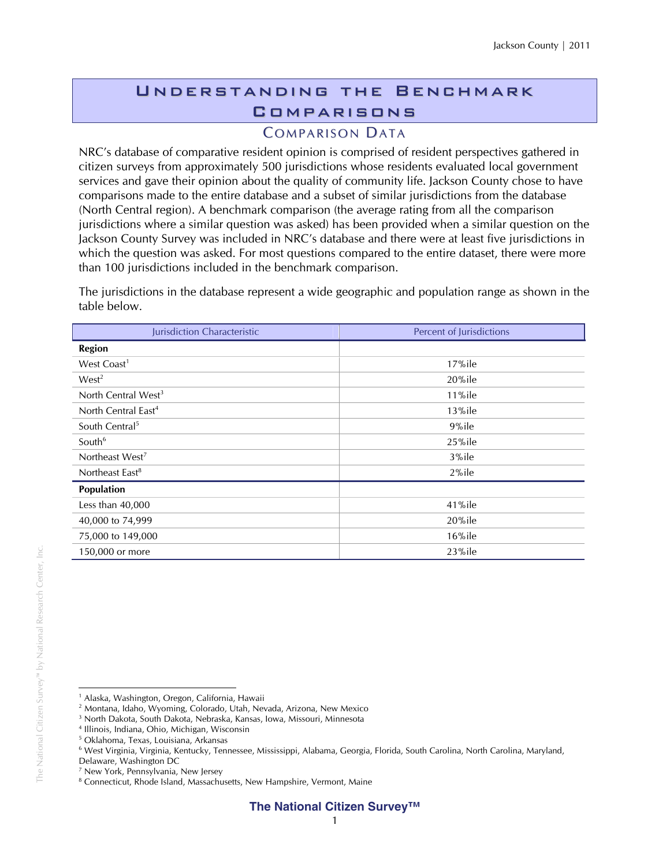## Understanding the Benchmark **COMPARISONS**

#### **COMPARISON DATA**

NRC's database of comparative resident opinion is comprised of resident perspectives gathered in citizen surveys from approximately 500 jurisdictions whose residents evaluated local government services and gave their opinion about the quality of community life. Jackson County chose to have comparisons made to the entire database and a subset of similar jurisdictions from the database (North Central region). A benchmark comparison (the average rating from all the comparison jurisdictions where a similar question was asked) has been provided when a similar question on the Jackson County Survey was included in NRC's database and there were at least five jurisdictions in which the question was asked. For most questions compared to the entire dataset, there were more than 100 jurisdictions included in the benchmark comparison.

The jurisdictions in the database represent a wide geographic and population range as shown in the table below.

| Jurisdiction Characteristic     | Percent of Jurisdictions |
|---------------------------------|--------------------------|
| <b>Region</b>                   |                          |
| West Coast <sup>1</sup>         | $17%$ ile                |
| West <sup>2</sup>               | $20\%$ ile               |
| North Central West <sup>3</sup> | $11\%$ ile               |
| North Central East <sup>4</sup> | $13\%$ ile               |
| South Central <sup>5</sup>      | 9%ile                    |
| South <sup>6</sup>              | 25%ile                   |
| Northeast West <sup>7</sup>     | 3%ile                    |
| Northeast East <sup>8</sup>     | $2\%$ ile                |
| Population                      |                          |
| Less than 40,000                | 41%ile                   |
| 40,000 to 74,999                | 20%ile                   |
| 75,000 to 149,000               | $16\%$ ile               |
| 150,000 or more                 | 23%ile                   |

 $\overline{a}$ <sup>1</sup> Alaska, Washington, Oregon, California, Hawaii

<sup>2</sup> Montana, Idaho, Wyoming, Colorado, Utah, Nevada, Arizona, New Mexico

<sup>3</sup> North Dakota, South Dakota, Nebraska, Kansas, Iowa, Missouri, Minnesota

<sup>4</sup> Illinois, Indiana, Ohio, Michigan, Wisconsin

<sup>5</sup> Oklahoma, Texas, Louisiana, Arkansas

<sup>6</sup> West Virginia, Virginia, Kentucky, Tennessee, Mississippi, Alabama, Georgia, Florida, South Carolina, North Carolina, Maryland,

Delaware, Washington DC

<sup>7</sup> New York, Pennsylvania, New Jersey

<sup>&</sup>lt;sup>8</sup> Connecticut, Rhode Island, Massachusetts, New Hampshire, Vermont, Maine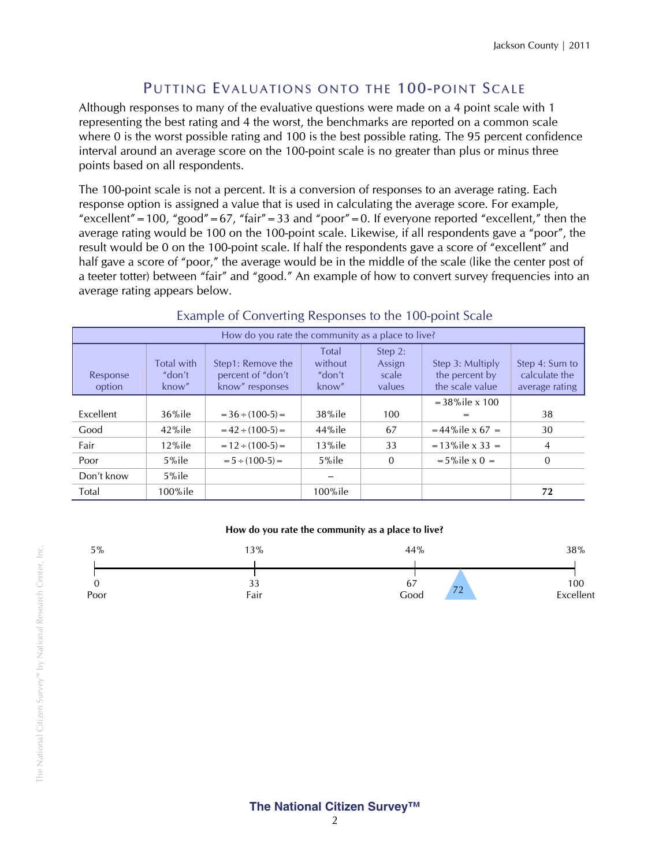#### PUTTING EVALUATIONS ONTO THE 100-POINT SCALE

Although responses to many of the evaluative questions were made on a 4 point scale with 1 representing the best rating and 4 the worst, the benchmarks are reported on a common scale where 0 is the worst possible rating and 100 is the best possible rating. The 95 percent confidence interval around an average score on the 100-point scale is no greater than plus or minus three points based on all respondents.

The 100-point scale is not a percent. It is a conversion of responses to an average rating. Each response option is assigned a value that is used in calculating the average score. For example, "excellent" = 100, "good" = 67, "fair" = 33 and "poor" = 0. If everyone reported "excellent," then the average rating would be 100 on the 100-point scale. Likewise, if all respondents gave a "poor", the result would be 0 on the 100-point scale. If half the respondents gave a score of "excellent" and half gave a score of "poor," the average would be in the middle of the scale (like the center post of a teeter totter) between "fair" and "good." An example of how to convert survey frequencies into an average rating appears below.

| How do you rate the community as a place to live? |                                      |                                                           |                                            |                                      |                                                       |                                                   |  |  |
|---------------------------------------------------|--------------------------------------|-----------------------------------------------------------|--------------------------------------------|--------------------------------------|-------------------------------------------------------|---------------------------------------------------|--|--|
| Response<br>option                                | <b>Total with</b><br>"don't<br>know" | Step1: Remove the<br>percent of "don't<br>know" responses | <b>Total</b><br>without<br>"don't<br>know" | Step 2:<br>Assign<br>scale<br>values | Step 3: Multiply<br>the percent by<br>the scale value | Step 4: Sum to<br>calculate the<br>average rating |  |  |
|                                                   |                                      |                                                           |                                            |                                      | $=$ 38% ile $\times$ 100                              |                                                   |  |  |
| Excellent                                         | $36\%$ ile                           | $=36 \div (100-5) =$                                      | 38%ile                                     | 100                                  | =                                                     | 38                                                |  |  |
| Good                                              | $42\%$ ile                           | $= 42 \div (100-5) =$                                     | 44%ile                                     | 67                                   | $= 44\%$ ile x 67 =                                   | 30                                                |  |  |
| Fair                                              | $12\%$ ile                           | $= 12 \div (100-5) =$                                     | $13\%$ ile                                 | 33                                   | $= 13\%$ ile x 33 =                                   | 4                                                 |  |  |
| Poor                                              | $5%$ ile                             | $= 5 \div (100-5) =$                                      | $5%$ ile                                   | $\mathbf 0$                          | $= 5\%$ ile x 0 =                                     | $\Omega$                                          |  |  |
| Don't know                                        | $5\%$ ile                            |                                                           |                                            |                                      |                                                       |                                                   |  |  |
| Total                                             | $100\%$ ile                          |                                                           | $100\%$ ile                                |                                      |                                                       | 72                                                |  |  |

#### Example of Converting Responses to the 100-point Scale

#### **How do you rate the community as a place to live?**

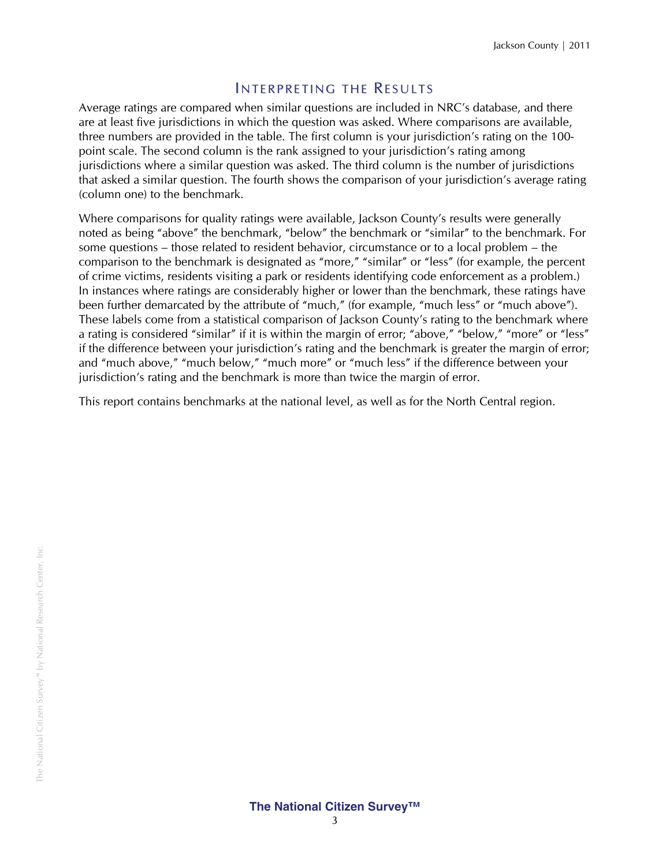#### INTERPRETING THE RESULTS

Average ratings are compared when similar questions are included in NRC's database, and there are at least five jurisdictions in which the question was asked. Where comparisons are available, three numbers are provided in the table. The first column is your jurisdiction's rating on the 100 point scale. The second column is the rank assigned to your jurisdiction's rating among jurisdictions where a similar question was asked. The third column is the number of jurisdictions that asked a similar question. The fourth shows the comparison of your jurisdiction's average rating (column one) to the benchmark.

Where comparisons for quality ratings were available, Jackson County's results were generally noted as being "above" the benchmark, "below" the benchmark or "similar" to the benchmark. For some questions – those related to resident behavior, circumstance or to a local problem – the comparison to the benchmark is designated as "more," "similar" or "less" (for example, the percent of crime victims, residents visiting a park or residents identifying code enforcement as a problem.) In instances where ratings are considerably higher or lower than the benchmark, these ratings have been further demarcated by the attribute of "much," (for example, "much less" or "much above"). These labels come from a statistical comparison of Jackson County's rating to the benchmark where a rating is considered "similar" if it is within the margin of error; "above," "below," "more" or "less" if the difference between your jurisdiction's rating and the benchmark is greater the margin of error; and "much above," "much below," "much more" or "much less" if the difference between your jurisdiction's rating and the benchmark is more than twice the margin of error.

This report contains benchmarks at the national level, as well as for the North Central region.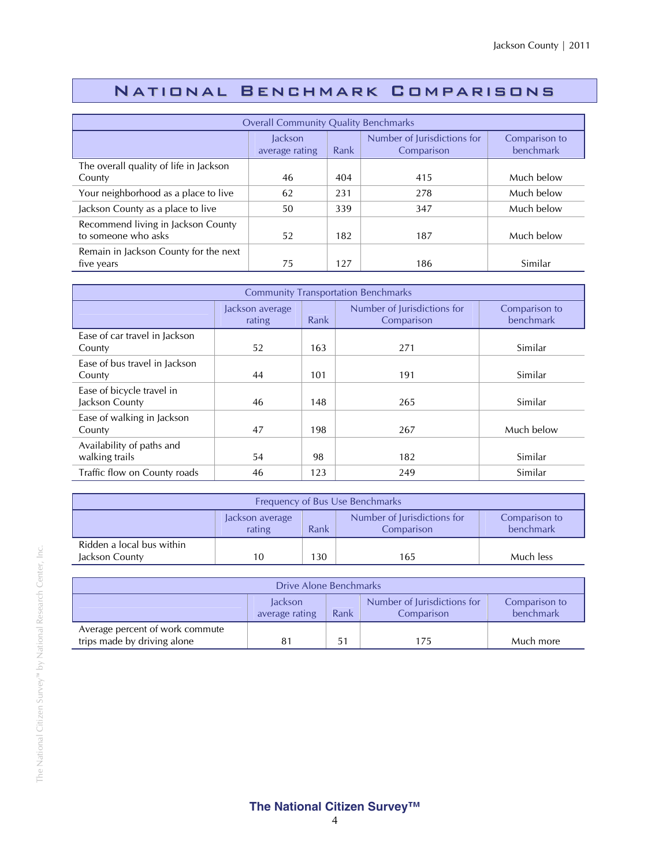### National Benchmark Comparisons

| <b>Overall Community Quality Benchmarks</b>               |                                  |      |                                           |                            |  |  |
|-----------------------------------------------------------|----------------------------------|------|-------------------------------------------|----------------------------|--|--|
|                                                           | <b>Jackson</b><br>average rating | Rank | Number of Jurisdictions for<br>Comparison | Comparison to<br>benchmark |  |  |
| The overall quality of life in Jackson<br>County          | 46                               | 404  | 415                                       | Much below                 |  |  |
| Your neighborhood as a place to live                      | 62                               | 231  | 278                                       | Much below                 |  |  |
| Jackson County as a place to live                         | 50                               | 339  | 347                                       | Much below                 |  |  |
| Recommend living in Jackson County<br>to someone who asks | 52                               | 182  | 187                                       | Much below                 |  |  |
| Remain in Jackson County for the next<br>five years       | 75                               | 127  | 186                                       | Similar                    |  |  |

| <b>Community Transportation Benchmarks</b>  |                           |      |                                           |                            |  |  |
|---------------------------------------------|---------------------------|------|-------------------------------------------|----------------------------|--|--|
|                                             | Jackson average<br>rating | Rank | Number of Jurisdictions for<br>Comparison | Comparison to<br>benchmark |  |  |
| Ease of car travel in Jackson<br>County     | 52                        | 163  | 271                                       | Similar                    |  |  |
| Ease of bus travel in Jackson<br>County     | 44                        | 101  | 191                                       | Similar                    |  |  |
| Ease of bicycle travel in<br>Jackson County | 46                        | 148  | 265                                       | Similar                    |  |  |
| Ease of walking in Jackson<br>County        | 47                        | 198  | 267                                       | Much below                 |  |  |
| Availability of paths and<br>walking trails | 54                        | 98   | 182                                       | Similar                    |  |  |
| Traffic flow on County roads                | 46                        | 123  | 249                                       | Similar                    |  |  |

| Frequency of Bus Use Benchmarks                                                                              |                               |  |  |  |  |
|--------------------------------------------------------------------------------------------------------------|-------------------------------|--|--|--|--|
| Number of Jurisdictions for<br>Comparison to<br>Jackson average<br>benchmark<br>Rank<br>rating<br>Comparison |                               |  |  |  |  |
| Ridden a local bus within<br>Jackson County                                                                  | 130<br>Much less<br>10<br>165 |  |  |  |  |

| Drive Alone Benchmarks                                                                                       |  |  |     |           |  |
|--------------------------------------------------------------------------------------------------------------|--|--|-----|-----------|--|
| Number of Jurisdictions for<br>Comparison to<br>lackson<br>benchmark<br>Comparison<br>average rating<br>Rank |  |  |     |           |  |
| Average percent of work commute<br>trips made by driving alone                                               |  |  | 175 | Much more |  |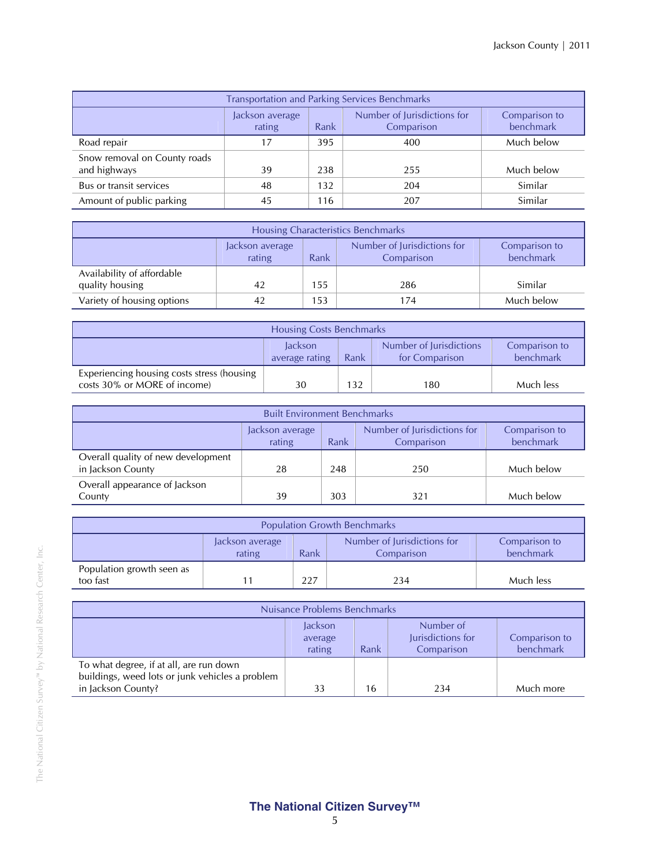| <b>Transportation and Parking Services Benchmarks</b>                                                        |    |     |     |            |  |
|--------------------------------------------------------------------------------------------------------------|----|-----|-----|------------|--|
| Number of Jurisdictions for<br>Jackson average<br>Comparison to<br>benchmark<br>Rank<br>rating<br>Comparison |    |     |     |            |  |
| Road repair                                                                                                  | 17 | 395 | 400 | Much below |  |
| Snow removal on County roads<br>and highways                                                                 | 39 | 238 | 255 | Much below |  |
| Bus or transit services                                                                                      | 48 | 132 | 204 | Similar    |  |
| Amount of public parking                                                                                     | 45 | 116 | 207 | Similar    |  |

| Housing Characteristics Benchmarks                                                                           |    |     |     |            |  |
|--------------------------------------------------------------------------------------------------------------|----|-----|-----|------------|--|
| Number of Jurisdictions for<br>Comparison to<br>Jackson average<br>benchmark<br>rating<br>Rank<br>Comparison |    |     |     |            |  |
| Availability of affordable<br>quality housing                                                                | 42 | 155 | 286 | Similar    |  |
| Variety of housing options                                                                                   |    | 153 | 174 | Much below |  |

| <b>Housing Costs Benchmarks</b>                                            |                                                                                                              |     |     |           |  |  |
|----------------------------------------------------------------------------|--------------------------------------------------------------------------------------------------------------|-----|-----|-----------|--|--|
|                                                                            | Number of Jurisdictions<br>Jackson<br>Comparison to<br>benchmark<br>for Comparison<br>average rating<br>Rank |     |     |           |  |  |
| Experiencing housing costs stress (housing<br>costs 30% or MORE of income) | 30                                                                                                           | 132 | 180 | Much less |  |  |

| <b>Built Environment Benchmarks</b>                                                                          |    |     |     |            |  |  |
|--------------------------------------------------------------------------------------------------------------|----|-----|-----|------------|--|--|
| Number of Jurisdictions for<br>Comparison to<br>Jackson average<br>benchmark<br>rating<br>Rank<br>Comparison |    |     |     |            |  |  |
| Overall quality of new development<br>in Jackson County                                                      | 28 | 248 | 250 | Much below |  |  |
| Overall appearance of Jackson<br>Much below<br>303<br>County<br>39<br>321                                    |    |     |     |            |  |  |

| <b>Population Growth Benchmarks</b>                                                                          |  |  |  |  |  |  |
|--------------------------------------------------------------------------------------------------------------|--|--|--|--|--|--|
| Number of Jurisdictions for<br>Comparison to<br>Jackson average<br>benchmark<br>Rank<br>rating<br>Comparison |  |  |  |  |  |  |
| Population growth seen as<br>too fast<br>227<br>Much less<br>234                                             |  |  |  |  |  |  |

| Nuisance Problems Benchmarks                                                                                     |                                                                                                                    |    |     |           |  |  |  |
|------------------------------------------------------------------------------------------------------------------|--------------------------------------------------------------------------------------------------------------------|----|-----|-----------|--|--|--|
|                                                                                                                  | Number of<br>Jackson<br>Jurisdictions for<br>Comparison to<br>average<br>benchmark<br>rating<br>Comparison<br>Rank |    |     |           |  |  |  |
| To what degree, if at all, are run down<br>buildings, weed lots or junk vehicles a problem<br>in Jackson County? | 33                                                                                                                 | 16 | 234 | Much more |  |  |  |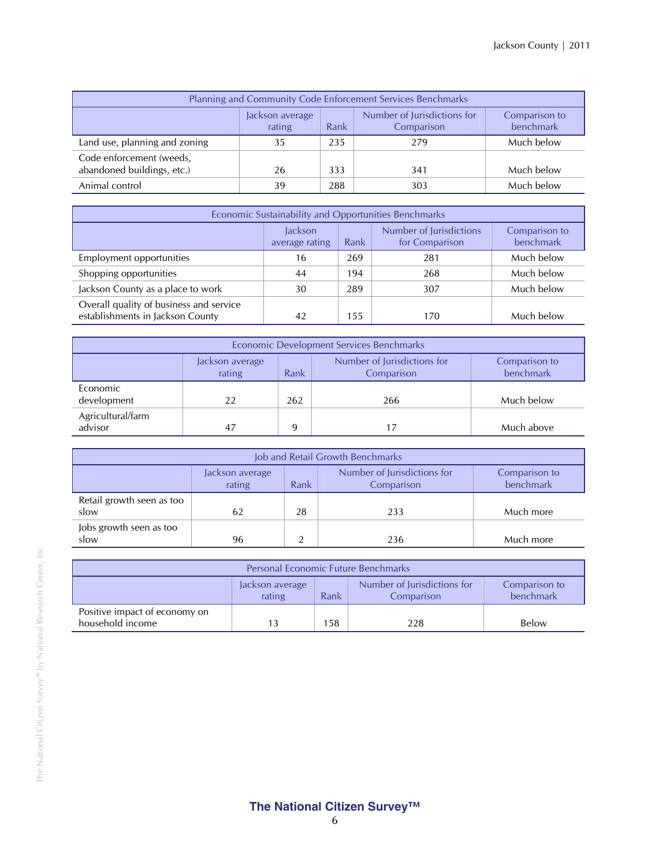| Planning and Community Code Enforcement Services Benchmarks                                                  |    |     |     |            |  |  |
|--------------------------------------------------------------------------------------------------------------|----|-----|-----|------------|--|--|
| Number of Jurisdictions for<br>Comparison to<br>Jackson average<br>benchmark<br>rating<br>Comparison<br>Rank |    |     |     |            |  |  |
| Land use, planning and zoning                                                                                | 35 | 235 | 279 | Much below |  |  |
| Code enforcement (weeds,<br>abandoned buildings, etc.)                                                       | 26 | 333 | 341 | Much below |  |  |
| Animal control                                                                                               | 39 | 288 | 303 | Much below |  |  |

| Economic Sustainability and Opportunities Benchmarks                                                         |    |     |     |            |  |  |
|--------------------------------------------------------------------------------------------------------------|----|-----|-----|------------|--|--|
| Number of Jurisdictions<br>Jackson<br>Comparison to<br>benchmark<br>for Comparison<br>Rank<br>average rating |    |     |     |            |  |  |
| Employment opportunities                                                                                     | 16 | 269 | 281 | Much below |  |  |
| Shopping opportunities                                                                                       | 44 | 194 | 268 | Much below |  |  |
| Jackson County as a place to work                                                                            | 30 | 289 | 307 | Much below |  |  |
| Overall quality of business and service<br>establishments in Jackson County                                  | 42 | 155 | 170 | Much below |  |  |

| Economic Development Services Benchmarks                                                                     |    |     |     |            |  |  |  |
|--------------------------------------------------------------------------------------------------------------|----|-----|-----|------------|--|--|--|
| Number of Jurisdictions for<br>Comparison to<br>Jackson average<br>benchmark<br>rating<br>Comparison<br>Rank |    |     |     |            |  |  |  |
| Economic<br>development                                                                                      | 22 | 262 | 266 | Much below |  |  |  |
| Agricultural/farm<br>advisor                                                                                 | 47 | 9   |     | Much above |  |  |  |

| Job and Retail Growth Benchmarks                                                                             |    |    |     |           |  |  |  |
|--------------------------------------------------------------------------------------------------------------|----|----|-----|-----------|--|--|--|
| Number of Jurisdictions for<br>Comparison to<br>Jackson average<br>benchmark<br>rating<br>Comparison<br>Rank |    |    |     |           |  |  |  |
| Retail growth seen as too<br>slow                                                                            | 62 | 28 | 233 | Much more |  |  |  |
| Jobs growth seen as too<br>slow                                                                              | 96 |    | 236 | Much more |  |  |  |

| <b>Personal Economic Future Benchmarks</b>        |                                                                                                              |      |     |       |  |  |
|---------------------------------------------------|--------------------------------------------------------------------------------------------------------------|------|-----|-------|--|--|
|                                                   | Number of Jurisdictions for<br>Comparison to<br>Jackson average<br>benchmark<br>rating<br>Rank<br>Comparison |      |     |       |  |  |
| Positive impact of economy on<br>household income |                                                                                                              | 158. | 228 | Below |  |  |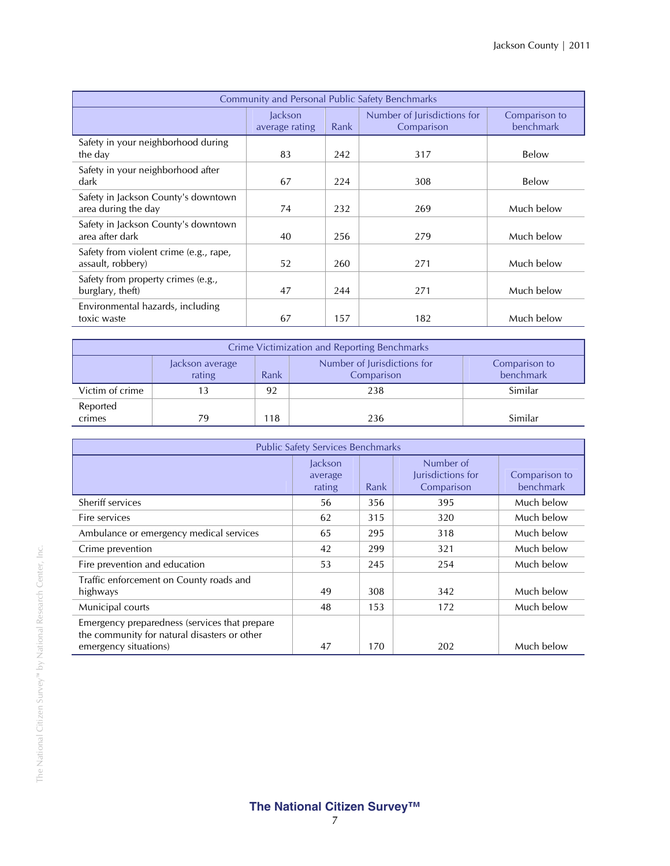| <b>Community and Personal Public Safety Benchmarks</b>      |                           |      |                                           |                            |  |  |
|-------------------------------------------------------------|---------------------------|------|-------------------------------------------|----------------------------|--|--|
|                                                             | Jackson<br>average rating | Rank | Number of Jurisdictions for<br>Comparison | Comparison to<br>benchmark |  |  |
| Safety in your neighborhood during<br>the day               | 83                        | 242  | 317                                       | Below                      |  |  |
| Safety in your neighborhood after<br>dark                   | 67                        | 224  | 308                                       | Below                      |  |  |
| Safety in Jackson County's downtown<br>area during the day  | 74                        | 232  | 269                                       | Much below                 |  |  |
| Safety in Jackson County's downtown<br>area after dark      | 40                        | 256  | 279                                       | Much below                 |  |  |
| Safety from violent crime (e.g., rape,<br>assault, robbery) | 52                        | 260  | 271                                       | Much below                 |  |  |
| Safety from property crimes (e.g.,<br>burglary, theft)      | 47                        | 244  | 271                                       | Much below                 |  |  |
| Environmental hazards, including<br>toxic waste             | 67                        | 157  | 182                                       | Much below                 |  |  |

| <b>Crime Victimization and Reporting Benchmarks</b> |                                                                                                              |    |     |         |  |  |  |  |
|-----------------------------------------------------|--------------------------------------------------------------------------------------------------------------|----|-----|---------|--|--|--|--|
|                                                     | Number of Jurisdictions for<br>Comparison to<br>Jackson average<br>benchmark<br>rating<br>Rank<br>Comparison |    |     |         |  |  |  |  |
| Victim of crime                                     |                                                                                                              | 92 | 238 | Similar |  |  |  |  |
| Reported<br>crimes                                  | 79                                                                                                           | 18 | 236 | Similar |  |  |  |  |

| <b>Public Safety Services Benchmarks</b>                                                                               |                              |      |                                              |                            |  |  |
|------------------------------------------------------------------------------------------------------------------------|------------------------------|------|----------------------------------------------|----------------------------|--|--|
|                                                                                                                        | Jackson<br>average<br>rating | Rank | Number of<br>Jurisdictions for<br>Comparison | Comparison to<br>benchmark |  |  |
| Sheriff services                                                                                                       | 56                           | 356  | 395                                          | Much below                 |  |  |
| Fire services                                                                                                          | 62                           | 315  | 320                                          | Much below                 |  |  |
| Ambulance or emergency medical services                                                                                | 65                           | 295  | 318                                          | Much below                 |  |  |
| Crime prevention                                                                                                       | 42                           | 299  | 321                                          | Much below                 |  |  |
| Fire prevention and education                                                                                          | 53                           | 245  | 254                                          | Much below                 |  |  |
| Traffic enforcement on County roads and<br>highways                                                                    | 49                           | 308  | 342                                          | Much below                 |  |  |
| Municipal courts                                                                                                       | 48                           | 153  | 172                                          | Much below                 |  |  |
| Emergency preparedness (services that prepare<br>the community for natural disasters or other<br>emergency situations) | 47                           | 170  | 202                                          | Much below                 |  |  |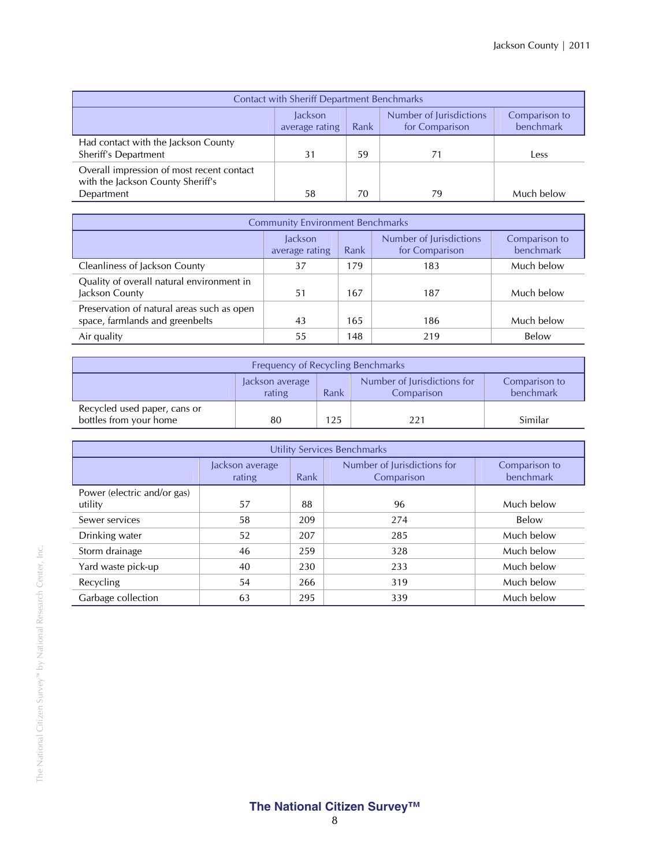| <b>Contact with Sheriff Department Benchmarks</b>                                                                   |    |    |    |            |  |  |
|---------------------------------------------------------------------------------------------------------------------|----|----|----|------------|--|--|
| Number of Jurisdictions<br><b>Jackson</b><br>Comparison to<br>benchmark<br>for Comparison<br>Rank<br>average rating |    |    |    |            |  |  |
| Had contact with the Jackson County<br>Sheriff's Department                                                         | 31 | 59 |    | Less       |  |  |
| Overall impression of most recent contact<br>with the Jackson County Sheriff's                                      |    |    |    |            |  |  |
| Department                                                                                                          | 58 | 70 | 79 | Much below |  |  |

| <b>Community Environment Benchmarks</b>                                       |                                                                                       |     |     |            |  |  |
|-------------------------------------------------------------------------------|---------------------------------------------------------------------------------------|-----|-----|------------|--|--|
|                                                                               | Number of Jurisdictions<br><b>lackson</b><br>for Comparison<br>Rank<br>average rating |     |     |            |  |  |
| Cleanliness of Jackson County                                                 | 37                                                                                    | 179 | 183 | Much below |  |  |
| Quality of overall natural environment in<br>Jackson County                   | 51                                                                                    | 167 | 187 | Much below |  |  |
| Preservation of natural areas such as open<br>space, farmlands and greenbelts | 43                                                                                    | 165 | 186 | Much below |  |  |
| Air quality                                                                   | 55                                                                                    | 148 | 219 | Below      |  |  |

| Frequency of Recycling Benchmarks                                                                            |    |     |     |         |  |  |
|--------------------------------------------------------------------------------------------------------------|----|-----|-----|---------|--|--|
| Number of Jurisdictions for<br>Comparison to<br>Jackson average<br>benchmark<br>rating<br>Rank<br>Comparison |    |     |     |         |  |  |
| Recycled used paper, cans or<br>bottles from your home                                                       | 80 | 125 | 221 | Similar |  |  |

| Utility Services Benchmarks            |                           |                                                   |     |                            |  |  |
|----------------------------------------|---------------------------|---------------------------------------------------|-----|----------------------------|--|--|
|                                        | Jackson average<br>rating | Number of Jurisdictions for<br>Rank<br>Comparison |     | Comparison to<br>benchmark |  |  |
| Power (electric and/or gas)<br>utility | 57                        | 88                                                | 96  | Much below                 |  |  |
| Sewer services                         | 58                        | 209                                               | 274 | Below                      |  |  |
| Drinking water                         | 52                        | 207                                               | 285 | Much below                 |  |  |
| Storm drainage                         | 46                        | 259                                               | 328 | Much below                 |  |  |
| Yard waste pick-up                     | 40                        | 230                                               | 233 | Much below                 |  |  |
| Recycling                              | 54                        | 266                                               | 319 | Much below                 |  |  |
| Garbage collection                     | 63                        | 295                                               | 339 | Much below                 |  |  |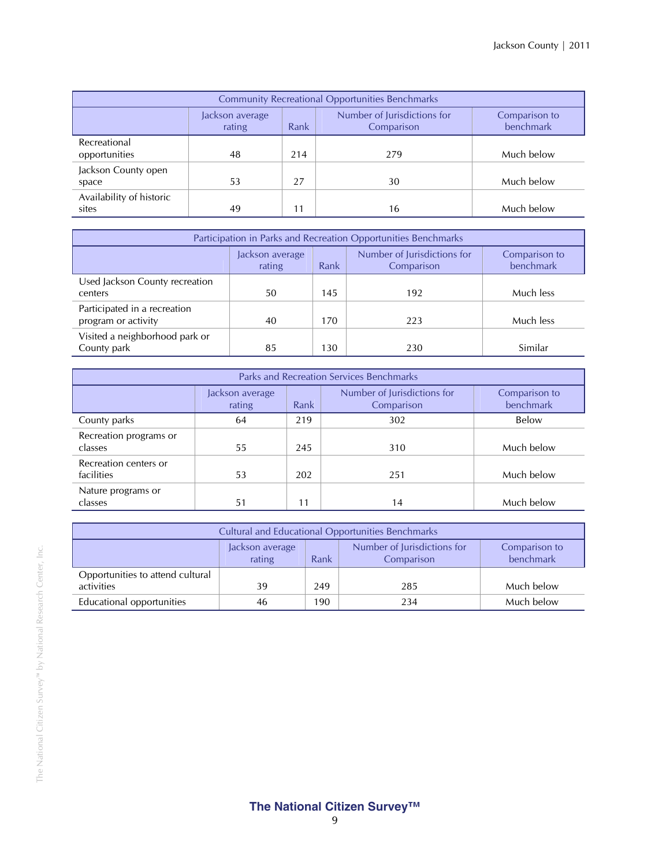| <b>Community Recreational Opportunities Benchmarks</b> |                           |                                                                    |     |            |  |  |  |
|--------------------------------------------------------|---------------------------|--------------------------------------------------------------------|-----|------------|--|--|--|
|                                                        | Jackson average<br>rating | Number of Jurisdictions for<br>Comparison to<br>Rank<br>Comparison |     |            |  |  |  |
| Recreational<br>opportunities                          | 48                        | 214                                                                | 279 | Much below |  |  |  |
| Jackson County open<br>space                           | 53                        | 27                                                                 | 30  | Much below |  |  |  |
| Availability of historic<br>sites                      | 49                        |                                                                    | 16  | Much below |  |  |  |

| Participation in Parks and Recreation Opportunities Benchmarks |                           |                                           |                            |           |  |  |
|----------------------------------------------------------------|---------------------------|-------------------------------------------|----------------------------|-----------|--|--|
|                                                                | Jackson average<br>rating | Number of Jurisdictions for<br>Comparison | Comparison to<br>benchmark |           |  |  |
| Used Jackson County recreation<br>centers                      | 50                        | 145                                       | 192                        | Much less |  |  |
| Participated in a recreation<br>program or activity            | 40                        | 170                                       | 223                        | Much less |  |  |
| Visited a neighborhood park or<br>County park                  | 85                        | 130                                       | 230                        | Similar   |  |  |

| Parks and Recreation Services Benchmarks |                           |      |                                           |                            |  |  |
|------------------------------------------|---------------------------|------|-------------------------------------------|----------------------------|--|--|
|                                          | Jackson average<br>rating | Rank | Number of Jurisdictions for<br>Comparison | Comparison to<br>benchmark |  |  |
| County parks                             | 64                        | 219  | 302                                       | Below                      |  |  |
| Recreation programs or<br>classes        | 55                        | 245  | 310                                       | Much below                 |  |  |
| Recreation centers or<br>facilities      | 53                        | 202  | 251                                       | Much below                 |  |  |
| Nature programs or<br>classes            | 51                        | 11   | 14                                        | Much below                 |  |  |

| <b>Cultural and Educational Opportunities Benchmarks</b>                                                     |    |     |     |            |  |  |  |
|--------------------------------------------------------------------------------------------------------------|----|-----|-----|------------|--|--|--|
| Number of Jurisdictions for<br>Comparison to<br>Jackson average<br>benchmark<br>rating<br>Rank<br>Comparison |    |     |     |            |  |  |  |
| Opportunities to attend cultural                                                                             |    |     |     |            |  |  |  |
| activities                                                                                                   | 39 | 249 | 285 | Much below |  |  |  |
| Educational opportunities<br>Much below<br>190<br>234<br>46                                                  |    |     |     |            |  |  |  |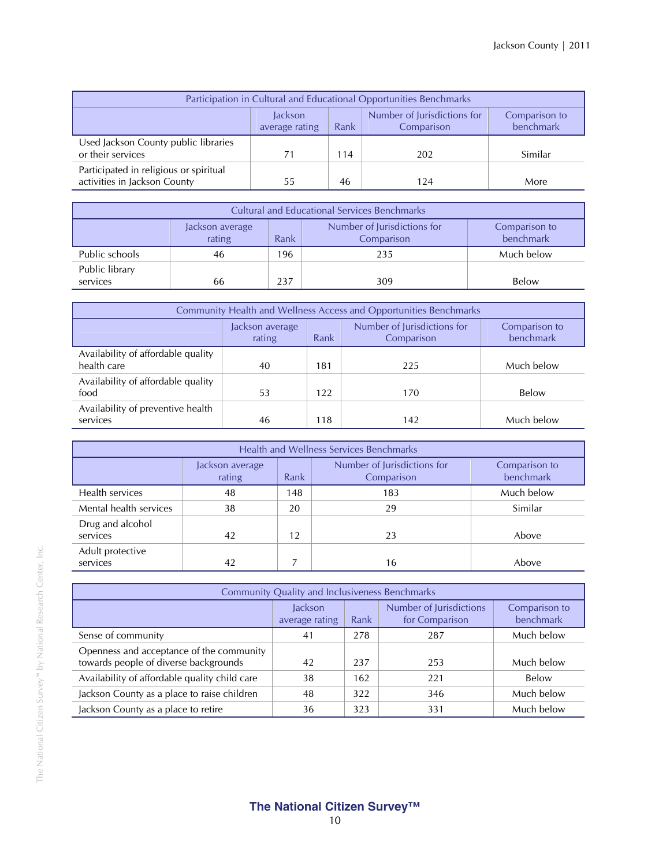| Participation in Cultural and Educational Opportunities Benchmarks                                           |    |     |     |         |  |  |
|--------------------------------------------------------------------------------------------------------------|----|-----|-----|---------|--|--|
| Number of Jurisdictions for<br>Jackson<br>Comparison to<br>benchmark<br>Rank<br>Comparison<br>average rating |    |     |     |         |  |  |
| Used Jackson County public libraries<br>or their services                                                    | 71 | 114 | 202 | Similar |  |  |
| Participated in religious or spiritual<br>activities in Jackson County                                       | 55 | 46  | 124 | More    |  |  |

| <b>Cultural and Educational Services Benchmarks</b>                                                          |    |     |     |            |  |  |
|--------------------------------------------------------------------------------------------------------------|----|-----|-----|------------|--|--|
| Number of Jurisdictions for<br>Comparison to<br>Jackson average<br>rating<br>benchmark<br>Rank<br>Comparison |    |     |     |            |  |  |
| Public schools                                                                                               | 46 | 196 | 235 | Much below |  |  |
| Public library<br>services                                                                                   | 66 | 237 | 309 | Below      |  |  |

| Community Health and Wellness Access and Opportunities Benchmarks              |    |     |     |                            |  |  |
|--------------------------------------------------------------------------------|----|-----|-----|----------------------------|--|--|
| Number of Jurisdictions for<br>Jackson average<br>Rank<br>rating<br>Comparison |    |     |     | Comparison to<br>benchmark |  |  |
| Availability of affordable quality<br>health care                              | 40 | 181 | 225 | Much below                 |  |  |
| Availability of affordable quality<br>food                                     | 53 | 122 | 170 | <b>Below</b>               |  |  |
| Availability of preventive health<br>services                                  | 46 | 118 | 142 | Much below                 |  |  |

| Health and Wellness Services Benchmarks |                           |                                                   |     |            |  |  |  |
|-----------------------------------------|---------------------------|---------------------------------------------------|-----|------------|--|--|--|
|                                         | Jackson average<br>rating | Number of Jurisdictions for<br>Rank<br>Comparison |     |            |  |  |  |
| Health services                         | 48                        | 148                                               | 183 | Much below |  |  |  |
| Mental health services                  | 38                        | 20                                                | 29  | Similar    |  |  |  |
| Drug and alcohol<br>services            | 42                        | 12                                                | 23  | Above      |  |  |  |
| Adult protective<br>services            | 42                        |                                                   | 16  | Above      |  |  |  |

| <b>Community Quality and Inclusiveness Benchmarks</b>                             |                                  |      |                                           |                            |  |  |
|-----------------------------------------------------------------------------------|----------------------------------|------|-------------------------------------------|----------------------------|--|--|
|                                                                                   | <b>lackson</b><br>average rating | Rank | Number of Jurisdictions<br>for Comparison | Comparison to<br>benchmark |  |  |
| Sense of community                                                                | 41                               | 278  | 287                                       | Much below                 |  |  |
| Openness and acceptance of the community<br>towards people of diverse backgrounds | 42                               | 237  | 253                                       | Much below                 |  |  |
| Availability of affordable quality child care                                     | 38                               | 162  | 221                                       | Below                      |  |  |
| Jackson County as a place to raise children                                       | 48                               | 322  | 346                                       | Much below                 |  |  |
| Jackson County as a place to retire                                               | 36                               | 323  | 331                                       | Much below                 |  |  |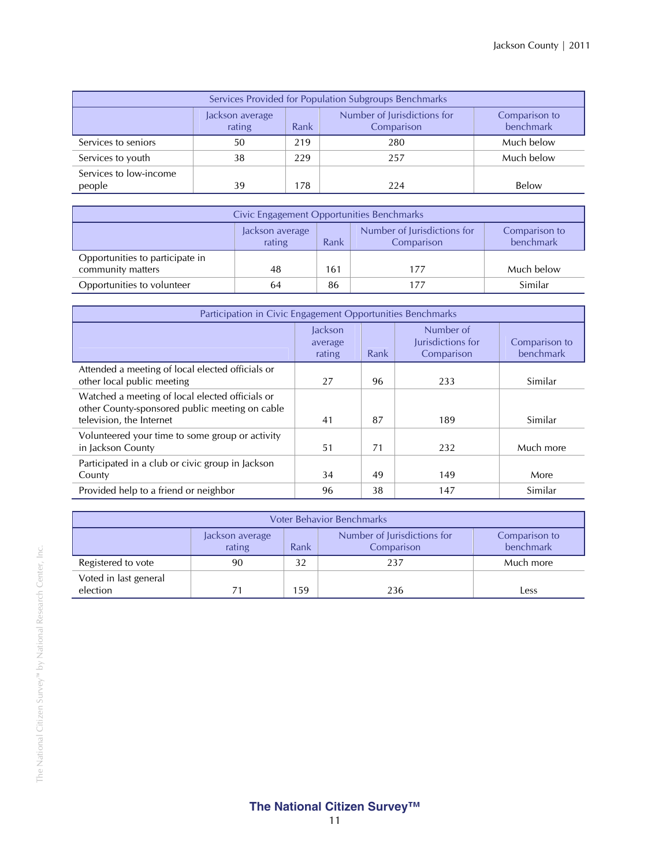| Services Provided for Population Subgroups Benchmarks                                                        |    |     |     |            |  |  |  |
|--------------------------------------------------------------------------------------------------------------|----|-----|-----|------------|--|--|--|
| Number of Jurisdictions for<br>Comparison to<br>Jackson average<br>benchmark<br>rating<br>Comparison<br>Rank |    |     |     |            |  |  |  |
| Services to seniors                                                                                          | 50 | 219 | 280 | Much below |  |  |  |
| Services to youth                                                                                            | 38 | 229 | 257 | Much below |  |  |  |
| Services to low-income<br>people                                                                             | 39 | 178 | 224 | Below      |  |  |  |

| Civic Engagement Opportunities Benchmarks                                                                    |    |     |     |            |  |  |
|--------------------------------------------------------------------------------------------------------------|----|-----|-----|------------|--|--|
| Number of Jurisdictions for<br>Comparison to<br>Jackson average<br>benchmark<br>Rank<br>rating<br>Comparison |    |     |     |            |  |  |
| Opportunities to participate in<br>community matters                                                         | 48 | 161 | 177 | Much below |  |  |
| Opportunities to volunteer                                                                                   | 64 | 86  | 177 | Similar    |  |  |

| Participation in Civic Engagement Opportunities Benchmarks                                                                    |                              |      |                                              |                            |
|-------------------------------------------------------------------------------------------------------------------------------|------------------------------|------|----------------------------------------------|----------------------------|
|                                                                                                                               | Jackson<br>average<br>rating | Rank | Number of<br>Jurisdictions for<br>Comparison | Comparison to<br>benchmark |
| Attended a meeting of local elected officials or<br>other local public meeting                                                | 27                           | 96   | 233                                          | Similar                    |
| Watched a meeting of local elected officials or<br>other County-sponsored public meeting on cable<br>television, the Internet | 41                           | 87   | 189                                          | Similar                    |
| Volunteered your time to some group or activity<br>in Jackson County                                                          | 51                           | 71   | 232                                          | Much more                  |
| Participated in a club or civic group in Jackson<br>County                                                                    | 34                           | 49   | 149                                          | More                       |
| Provided help to a friend or neighbor                                                                                         | 96                           | 38   | 147                                          | Similar                    |

| <b>Voter Behavior Benchmarks</b>  |                           |                                                                                 |     |           |  |  |  |
|-----------------------------------|---------------------------|---------------------------------------------------------------------------------|-----|-----------|--|--|--|
|                                   | Jackson average<br>rating | Number of Jurisdictions for<br>Comparison to<br>benchmark<br>Comparison<br>Rank |     |           |  |  |  |
| Registered to vote                | 90                        | 32                                                                              | 237 | Much more |  |  |  |
| Voted in last general<br>election | 71                        | 159                                                                             | 236 | Less      |  |  |  |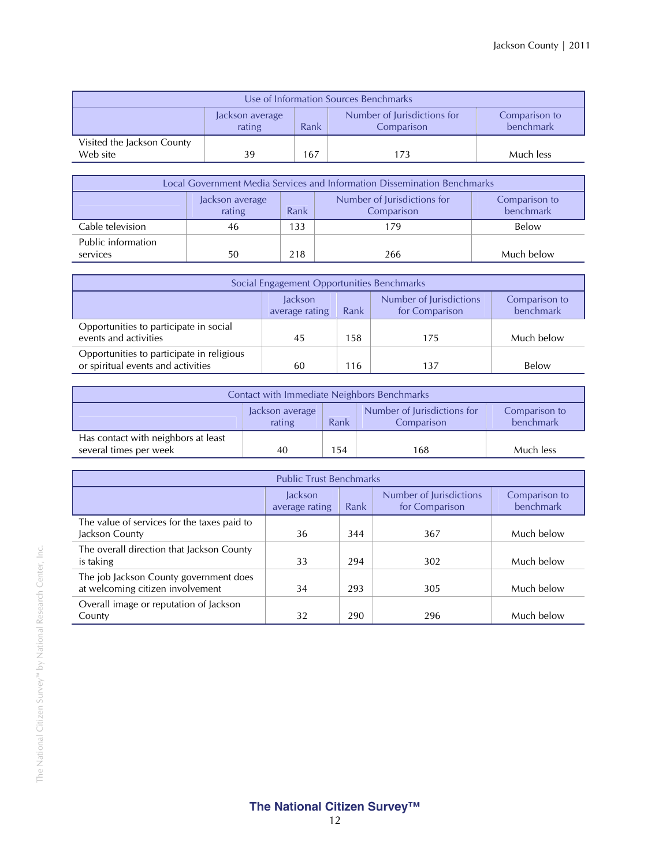| Use of Information Sources Benchmarks  |                                                                                                              |     |     |           |  |  |
|----------------------------------------|--------------------------------------------------------------------------------------------------------------|-----|-----|-----------|--|--|
|                                        | Number of Jurisdictions for<br>Comparison to<br>Jackson average<br>benchmark<br>Rank<br>rating<br>Comparison |     |     |           |  |  |
| Visited the Jackson County<br>Web site | 39                                                                                                           | 167 | 173 | Much less |  |  |

| Local Government Media Services and Information Dissemination Benchmarks |                           |                                                                                 |     |            |  |  |  |
|--------------------------------------------------------------------------|---------------------------|---------------------------------------------------------------------------------|-----|------------|--|--|--|
|                                                                          | Jackson average<br>rating | Number of Jurisdictions for<br>Comparison to<br>benchmark<br>Comparison<br>Rank |     |            |  |  |  |
| Cable television                                                         | 46                        | 133                                                                             | 179 | Below      |  |  |  |
| Public information<br>services                                           | 50                        | 218                                                                             | 266 | Much below |  |  |  |

| Social Engagement Opportunities Benchmarks                                      |                                                                                                              |     |     |            |  |  |
|---------------------------------------------------------------------------------|--------------------------------------------------------------------------------------------------------------|-----|-----|------------|--|--|
|                                                                                 | Number of Jurisdictions<br>Comparison to<br>lackson<br>benchmark<br>for Comparison<br>Rank<br>average rating |     |     |            |  |  |
| Opportunities to participate in social<br>events and activities                 | 45                                                                                                           | 158 | 175 | Much below |  |  |
| Opportunities to participate in religious<br>or spiritual events and activities | 60                                                                                                           | 116 | 137 | Below      |  |  |

| Contact with Immediate Neighbors Benchmarks                   |                                                                                                              |     |     |           |  |
|---------------------------------------------------------------|--------------------------------------------------------------------------------------------------------------|-----|-----|-----------|--|
|                                                               | Number of Jurisdictions for<br>Comparison to<br>Jackson average<br>benchmark<br>Rank<br>rating<br>Comparison |     |     |           |  |
| Has contact with neighbors at least<br>several times per week | 40                                                                                                           | 154 | 168 | Much less |  |

| <b>Public Trust Benchmarks</b>                                             |                                                                                                              |     |     |            |  |
|----------------------------------------------------------------------------|--------------------------------------------------------------------------------------------------------------|-----|-----|------------|--|
|                                                                            | Number of Jurisdictions<br>Comparison to<br>Jackson<br>benchmark<br>Rank<br>for Comparison<br>average rating |     |     |            |  |
| The value of services for the taxes paid to<br>Jackson County              | 36                                                                                                           | 344 | 367 | Much below |  |
| The overall direction that Jackson County<br>is taking                     | 33                                                                                                           | 294 | 302 | Much below |  |
| The job Jackson County government does<br>at welcoming citizen involvement | 34                                                                                                           | 293 | 305 | Much below |  |
| Overall image or reputation of Jackson<br>County                           | 32                                                                                                           | 290 | 296 | Much below |  |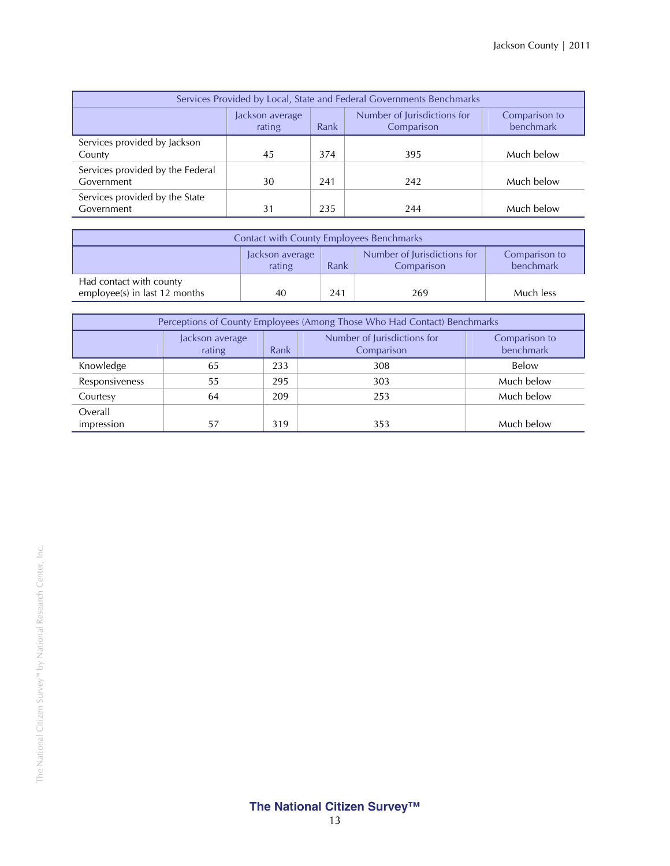| Services Provided by Local, State and Federal Governments Benchmarks |                                                                                                              |     |     |            |  |
|----------------------------------------------------------------------|--------------------------------------------------------------------------------------------------------------|-----|-----|------------|--|
|                                                                      | Number of Jurisdictions for<br>Comparison to<br>Jackson average<br>benchmark<br>Rank<br>rating<br>Comparison |     |     |            |  |
| Services provided by Jackson<br>County                               | 45                                                                                                           | 374 | 395 | Much below |  |
| Services provided by the Federal<br>Government                       | 30                                                                                                           | 241 | 242 | Much below |  |
| Services provided by the State<br>Government                         | 31                                                                                                           | 235 | 244 | Much below |  |

| <b>Contact with County Employees Benchmarks</b>                                                              |    |     |     |           |
|--------------------------------------------------------------------------------------------------------------|----|-----|-----|-----------|
| Number of Jurisdictions for<br>Comparison to<br>Jackson average<br>benchmark<br>rating<br>Rank<br>Comparison |    |     |     |           |
| Had contact with county<br>employee(s) in last 12 months                                                     | 40 | 241 | 269 | Much less |

| Perceptions of County Employees (Among Those Who Had Contact) Benchmarks |                           |      |                                           |                            |  |
|--------------------------------------------------------------------------|---------------------------|------|-------------------------------------------|----------------------------|--|
|                                                                          | Jackson average<br>rating | Rank | Number of Jurisdictions for<br>Comparison | Comparison to<br>benchmark |  |
| Knowledge                                                                | 65                        | 233  | 308                                       | Below                      |  |
| Responsiveness                                                           | 55                        | 295  | 303                                       | Much below                 |  |
| Courtesy                                                                 | 64                        | 209  | 253                                       | Much below                 |  |
| Overall<br>impression                                                    | 57                        | 319  | 353                                       | Much below                 |  |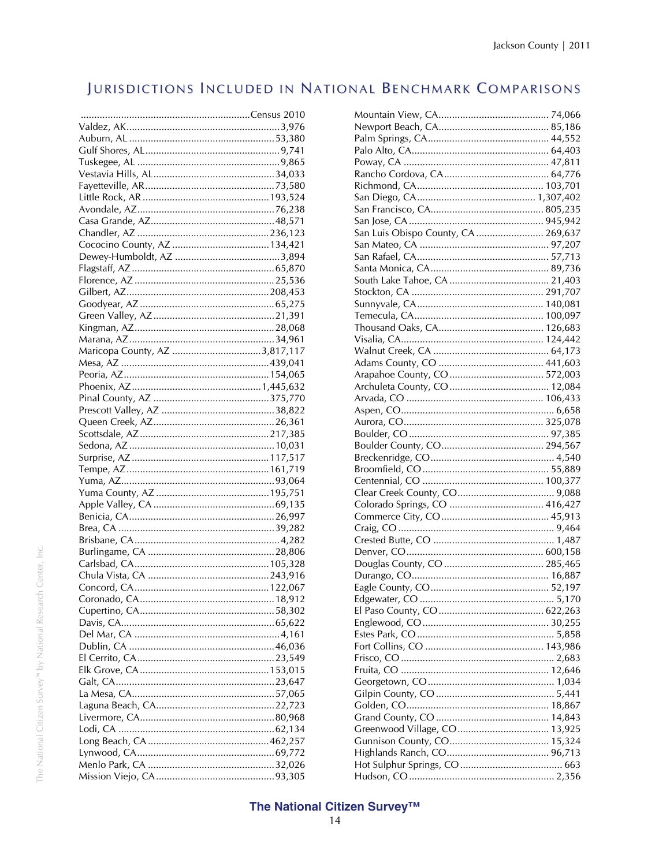## JURISDICTIONS INCLUDED IN NATIONAL BENCHMARK COMPARISONS

| Maricopa County, AZ 3,817,117 |  |
|-------------------------------|--|
|                               |  |
|                               |  |
|                               |  |
|                               |  |
|                               |  |
|                               |  |
|                               |  |
|                               |  |
|                               |  |
|                               |  |
|                               |  |
|                               |  |
|                               |  |
|                               |  |
|                               |  |
|                               |  |
|                               |  |
|                               |  |
|                               |  |
|                               |  |
|                               |  |
|                               |  |
|                               |  |
|                               |  |
|                               |  |
|                               |  |
|                               |  |
|                               |  |
|                               |  |
|                               |  |
|                               |  |
|                               |  |
|                               |  |
|                               |  |
|                               |  |
|                               |  |
|                               |  |

| San Luis Obispo County, CA  269,637 |
|-------------------------------------|
|                                     |
|                                     |
|                                     |
|                                     |
|                                     |
|                                     |
|                                     |
|                                     |
|                                     |
|                                     |
|                                     |
|                                     |
|                                     |
|                                     |
|                                     |
|                                     |
|                                     |
|                                     |
|                                     |
|                                     |
|                                     |
|                                     |
|                                     |
|                                     |
|                                     |
|                                     |
|                                     |
|                                     |
|                                     |
|                                     |
|                                     |
|                                     |
|                                     |
|                                     |
|                                     |
|                                     |
|                                     |
|                                     |
|                                     |
|                                     |
|                                     |
|                                     |
| Greenwood Village, CO 13,925        |
|                                     |
|                                     |
|                                     |
|                                     |
|                                     |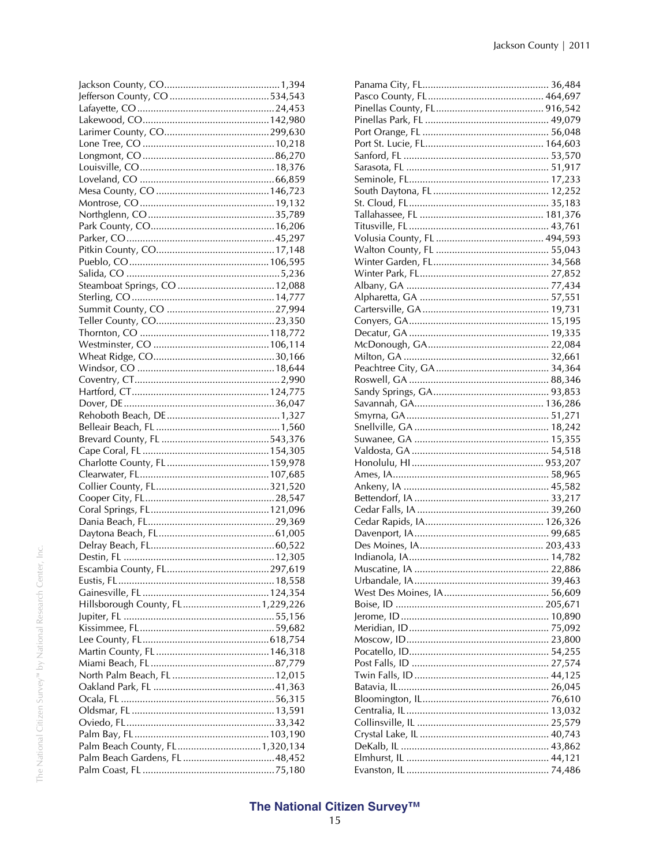| Hillsborough County, FL 1,229,226 |  |
|-----------------------------------|--|
|                                   |  |
|                                   |  |
|                                   |  |
|                                   |  |
|                                   |  |
|                                   |  |
|                                   |  |
|                                   |  |
|                                   |  |
|                                   |  |
|                                   |  |
|                                   |  |
|                                   |  |
| Palm Beach County, FL 1,320,134   |  |
|                                   |  |
|                                   |  |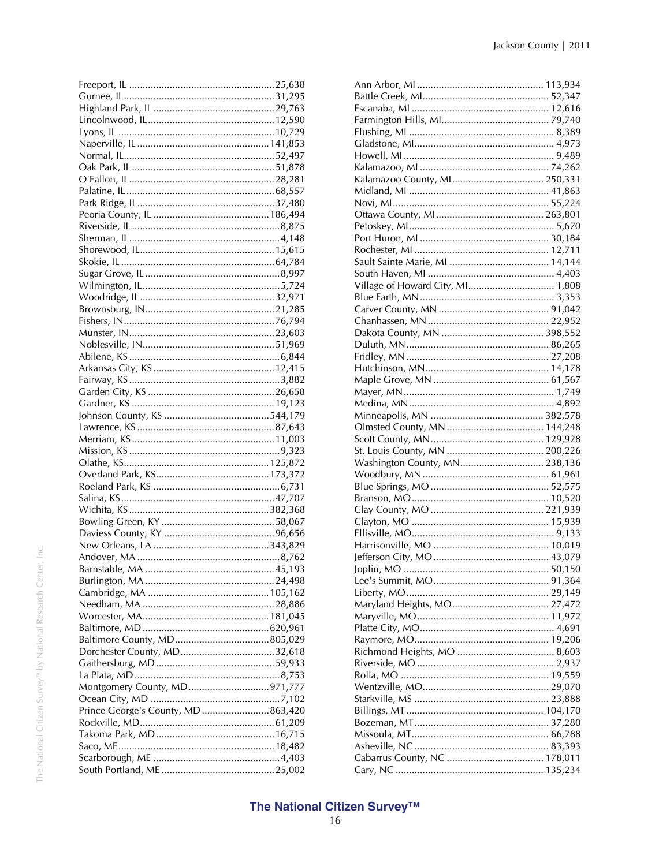| Montgomery County, MD971,777      |  |
|-----------------------------------|--|
| Prince George's County, MD863,420 |  |
|                                   |  |
|                                   |  |
|                                   |  |
|                                   |  |
|                                   |  |
|                                   |  |

| Kalamazoo County, MI 250,331     |
|----------------------------------|
|                                  |
|                                  |
|                                  |
|                                  |
|                                  |
|                                  |
|                                  |
|                                  |
| Village of Howard City, MI 1,808 |
|                                  |
|                                  |
|                                  |
|                                  |
|                                  |
|                                  |
|                                  |
|                                  |
|                                  |
|                                  |
|                                  |
|                                  |
|                                  |
|                                  |
|                                  |
| Washington County, MN 238,136    |
|                                  |
|                                  |
|                                  |
|                                  |
|                                  |
|                                  |
|                                  |
|                                  |
|                                  |
|                                  |
|                                  |
|                                  |
|                                  |
|                                  |
|                                  |
|                                  |
|                                  |
|                                  |
|                                  |
|                                  |
|                                  |
|                                  |
|                                  |
|                                  |
|                                  |
|                                  |
|                                  |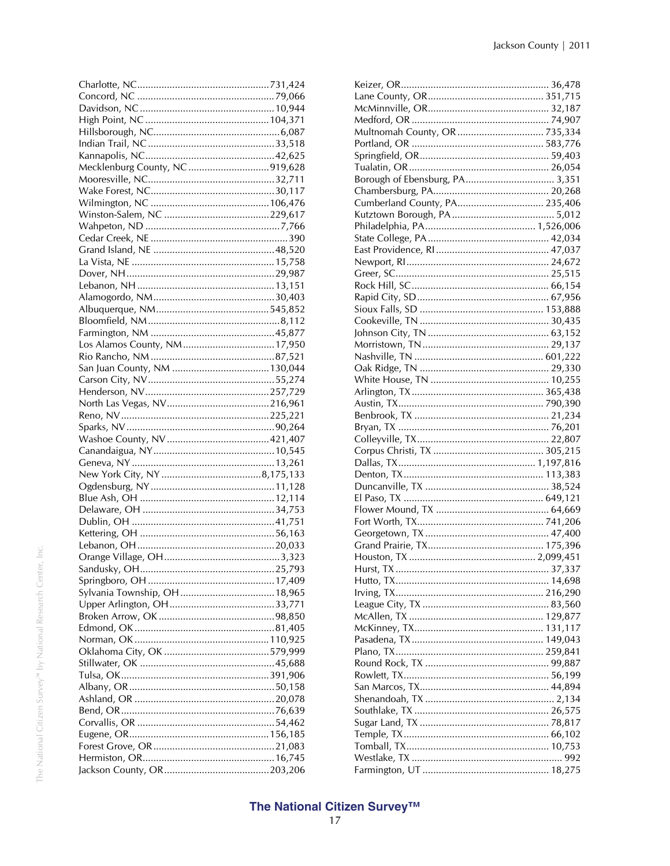| Mecklenburg County, NC 919,628 |  |
|--------------------------------|--|
|                                |  |
|                                |  |
|                                |  |
|                                |  |
|                                |  |
|                                |  |
|                                |  |
|                                |  |
|                                |  |
|                                |  |
|                                |  |
|                                |  |
|                                |  |
|                                |  |
|                                |  |
|                                |  |
|                                |  |
|                                |  |
|                                |  |
|                                |  |
|                                |  |
|                                |  |
|                                |  |
|                                |  |
|                                |  |
|                                |  |
|                                |  |
|                                |  |
|                                |  |
|                                |  |
|                                |  |
|                                |  |
|                                |  |
|                                |  |
|                                |  |
|                                |  |
|                                |  |
|                                |  |
|                                |  |
|                                |  |
|                                |  |
|                                |  |
|                                |  |
|                                |  |
|                                |  |
|                                |  |
|                                |  |
|                                |  |
|                                |  |
|                                |  |
|                                |  |
|                                |  |
|                                |  |
|                                |  |
|                                |  |
|                                |  |

| Borough of Ebensburg, PA 3,351 |  |
|--------------------------------|--|
|                                |  |
| Cumberland County, PA 235,406  |  |
|                                |  |
|                                |  |
|                                |  |
|                                |  |
|                                |  |
|                                |  |
|                                |  |
|                                |  |
|                                |  |
|                                |  |
|                                |  |
|                                |  |
|                                |  |
|                                |  |
|                                |  |
|                                |  |
|                                |  |
|                                |  |
|                                |  |
|                                |  |
|                                |  |
|                                |  |
|                                |  |
|                                |  |
|                                |  |
|                                |  |
|                                |  |
|                                |  |
|                                |  |
|                                |  |
|                                |  |
|                                |  |
|                                |  |
|                                |  |
|                                |  |
|                                |  |
|                                |  |
|                                |  |
|                                |  |
|                                |  |
|                                |  |
|                                |  |
|                                |  |
|                                |  |
|                                |  |
|                                |  |
|                                |  |
|                                |  |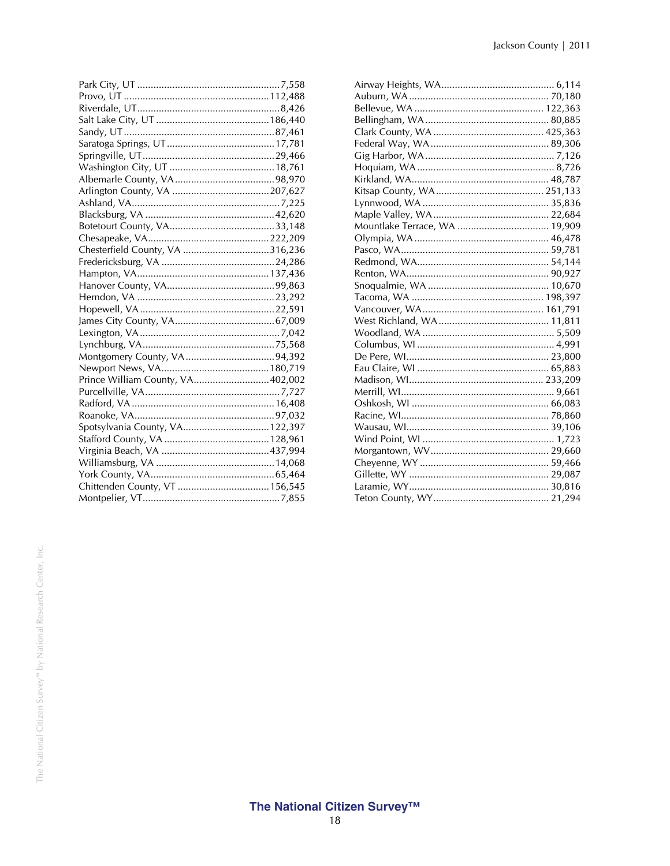| Prince William County, VA402,002 |  |
|----------------------------------|--|
|                                  |  |
|                                  |  |
|                                  |  |
| Spotsylvania County, VA 122,397  |  |
|                                  |  |
|                                  |  |
|                                  |  |
|                                  |  |
|                                  |  |
|                                  |  |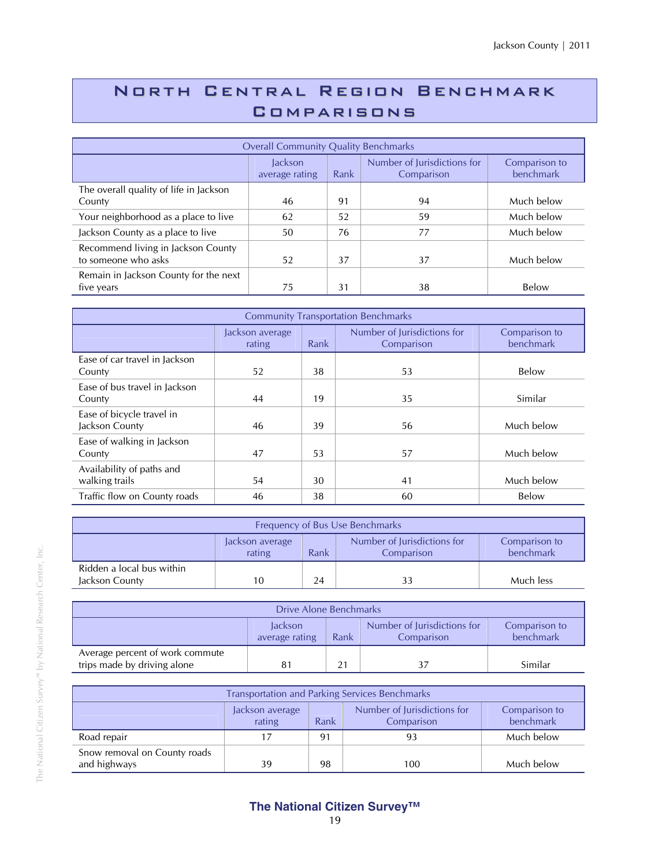## North Central Region Benchmark **COMPARISONS**

| <b>Overall Community Quality Benchmarks</b>               |                                  |      |                                           |                            |  |
|-----------------------------------------------------------|----------------------------------|------|-------------------------------------------|----------------------------|--|
|                                                           | <b>Jackson</b><br>average rating | Rank | Number of Jurisdictions for<br>Comparison | Comparison to<br>benchmark |  |
| The overall quality of life in Jackson<br>County          | 46                               | 91   | 94                                        | Much below                 |  |
| Your neighborhood as a place to live                      | 62                               | 52   | 59                                        | Much below                 |  |
| Jackson County as a place to live                         | 50                               | 76   | 77                                        | Much below                 |  |
| Recommend living in Jackson County<br>to someone who asks | 52                               | 37   | 37                                        | Much below                 |  |
| Remain in Jackson County for the next<br>five years       | 75                               | 31   | 38                                        | Below                      |  |

| <b>Community Transportation Benchmarks</b>  |                                                                                                              |    |    |            |  |
|---------------------------------------------|--------------------------------------------------------------------------------------------------------------|----|----|------------|--|
|                                             | Number of Jurisdictions for<br>Jackson average<br>Comparison to<br>benchmark<br>Rank<br>Comparison<br>rating |    |    |            |  |
| Ease of car travel in Jackson<br>County     | 52                                                                                                           | 38 | 53 | Below      |  |
| Ease of bus travel in Jackson<br>County     | 44                                                                                                           | 19 | 35 | Similar    |  |
| Ease of bicycle travel in<br>Jackson County | 46                                                                                                           | 39 | 56 | Much below |  |
| Ease of walking in Jackson<br>County        | 47                                                                                                           | 53 | 57 | Much below |  |
| Availability of paths and<br>walking trails | 54                                                                                                           | 30 | 41 | Much below |  |
| Traffic flow on County roads                | 46                                                                                                           | 38 | 60 | Below      |  |

| Frequency of Bus Use Benchmarks                                                                              |    |    |  |           |
|--------------------------------------------------------------------------------------------------------------|----|----|--|-----------|
| Number of Jurisdictions for<br>Comparison to<br>Jackson average<br>benchmark<br>Rank<br>rating<br>Comparison |    |    |  |           |
| Ridden a local bus within<br>Jackson County                                                                  | 10 | 24 |  | Much less |

| Drive Alone Benchmarks                                                                                       |    |    |  |         |  |
|--------------------------------------------------------------------------------------------------------------|----|----|--|---------|--|
| Number of Jurisdictions for<br>Jackson<br>Comparison to<br>benchmark<br>average rating<br>Rank<br>Comparison |    |    |  |         |  |
| Average percent of work commute<br>trips made by driving alone                                               | 81 | 21 |  | Similar |  |

| <b>Transportation and Parking Services Benchmarks</b>                                                        |    |    |    |            |  |  |
|--------------------------------------------------------------------------------------------------------------|----|----|----|------------|--|--|
| Number of Jurisdictions for<br>Comparison to<br>Jackson average<br>rating<br>benchmark<br>Rank<br>Comparison |    |    |    |            |  |  |
| Road repair                                                                                                  | 17 | 91 | 93 | Much below |  |  |
| Snow removal on County roads<br>and highways<br>98<br>Much below<br>39<br>100                                |    |    |    |            |  |  |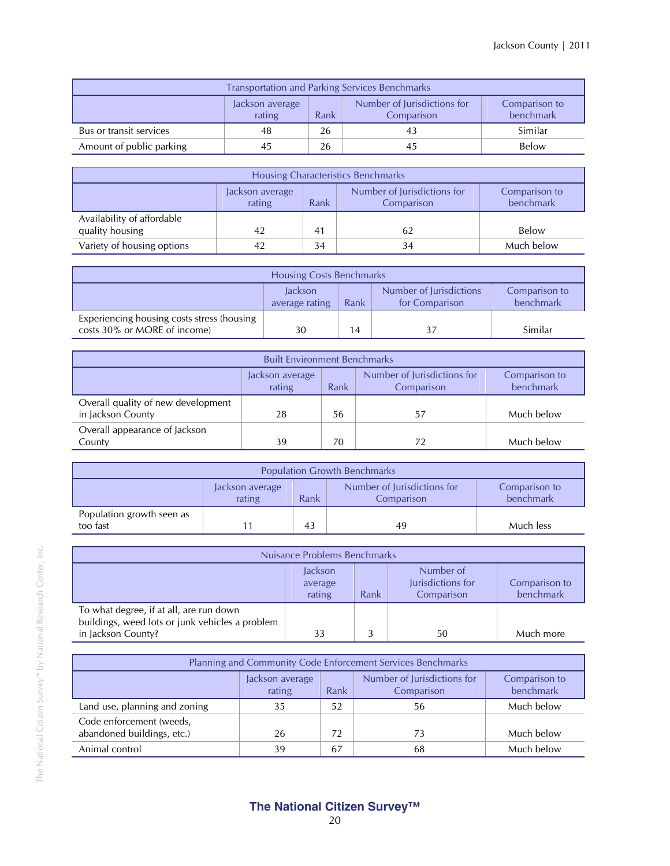| <b>Transportation and Parking Services Benchmarks</b>                                                        |                           |  |  |  |  |  |  |
|--------------------------------------------------------------------------------------------------------------|---------------------------|--|--|--|--|--|--|
| Number of Jurisdictions for<br>Comparison to<br>Jackson average<br>rating<br>benchmark<br>Rank<br>Comparison |                           |  |  |  |  |  |  |
| Bus or transit services                                                                                      | Similar<br>26<br>48<br>43 |  |  |  |  |  |  |
| Amount of public parking                                                                                     | Below<br>26<br>45<br>45   |  |  |  |  |  |  |

| Housing Characteristics Benchmarks                                                                           |    |    |    |            |  |  |
|--------------------------------------------------------------------------------------------------------------|----|----|----|------------|--|--|
| Number of Jurisdictions for<br>Comparison to<br>Jackson average<br>benchmark<br>rating<br>Rank<br>Comparison |    |    |    |            |  |  |
| Availability of affordable<br>quality housing                                                                | 42 | 41 | 62 | Below      |  |  |
| Variety of housing options                                                                                   |    | 34 |    | Much below |  |  |

| <b>Housing Costs Benchmarks</b>                                            |                                                                                                                     |    |  |         |  |  |
|----------------------------------------------------------------------------|---------------------------------------------------------------------------------------------------------------------|----|--|---------|--|--|
|                                                                            | Number of Jurisdictions<br>Comparison to<br><b>lackson</b><br>benchmark<br>for Comparison<br>average rating<br>Rank |    |  |         |  |  |
| Experiencing housing costs stress (housing<br>costs 30% or MORE of income) | 30                                                                                                                  | 14 |  | Similar |  |  |

| <b>Built Environment Benchmarks</b>                                                                          |    |    |    |            |  |  |
|--------------------------------------------------------------------------------------------------------------|----|----|----|------------|--|--|
| Number of Jurisdictions for<br>Comparison to<br>Jackson average<br>benchmark<br>rating<br>Comparison<br>Rank |    |    |    |            |  |  |
| Overall quality of new development<br>in Jackson County                                                      | 28 | 56 | 57 | Much below |  |  |
| Overall appearance of Jackson<br>County                                                                      | 39 | 70 |    | Much below |  |  |

| <b>Population Growth Benchmarks</b>                                                                          |  |    |    |           |  |
|--------------------------------------------------------------------------------------------------------------|--|----|----|-----------|--|
| Number of Jurisdictions for<br>Comparison to<br>Jackson average<br>benchmark<br>rating<br>Rank<br>Comparison |  |    |    |           |  |
| Population growth seen as<br>too fast                                                                        |  | 43 | 49 | Much less |  |

| Nuisance Problems Benchmarks                                                                                     |                                                                                                                    |  |    |           |  |  |  |
|------------------------------------------------------------------------------------------------------------------|--------------------------------------------------------------------------------------------------------------------|--|----|-----------|--|--|--|
|                                                                                                                  | Number of<br>Jackson<br>Jurisdictions for<br>Comparison to<br>average<br>benchmark<br>Rank<br>rating<br>Comparison |  |    |           |  |  |  |
| To what degree, if at all, are run down<br>buildings, weed lots or junk vehicles a problem<br>in Jackson County? | 33                                                                                                                 |  | 50 | Much more |  |  |  |

| Planning and Community Code Enforcement Services Benchmarks                                                  |    |    |    |            |  |  |
|--------------------------------------------------------------------------------------------------------------|----|----|----|------------|--|--|
| Number of Jurisdictions for<br>Comparison to<br>Jackson average<br>benchmark<br>rating<br>Rank<br>Comparison |    |    |    |            |  |  |
| Land use, planning and zoning                                                                                | 35 | 52 | 56 | Much below |  |  |
| Code enforcement (weeds,<br>abandoned buildings, etc.)                                                       | 26 | 72 | 73 | Much below |  |  |
| Animal control                                                                                               | 39 | 67 | 68 | Much below |  |  |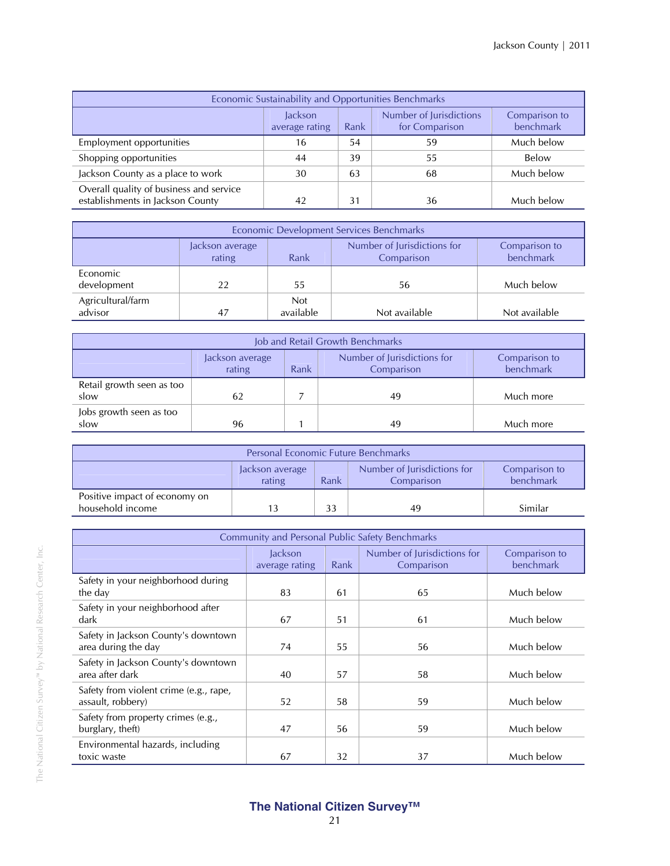| Economic Sustainability and Opportunities Benchmarks                                                         |    |    |    |            |  |  |
|--------------------------------------------------------------------------------------------------------------|----|----|----|------------|--|--|
| Number of Jurisdictions<br>lackson<br>Comparison to<br>benchmark<br>for Comparison<br>Rank<br>average rating |    |    |    |            |  |  |
| Employment opportunities                                                                                     | 16 | 54 | 59 | Much below |  |  |
| Shopping opportunities                                                                                       | 44 | 39 | 55 | Below      |  |  |
| Jackson County as a place to work                                                                            | 30 | 63 | 68 | Much below |  |  |
| Overall quality of business and service<br>establishments in Jackson County                                  | 42 | 31 | 36 | Much below |  |  |

| Economic Development Services Benchmarks |                                                                                                              |                         |               |               |  |  |  |
|------------------------------------------|--------------------------------------------------------------------------------------------------------------|-------------------------|---------------|---------------|--|--|--|
|                                          | Number of Jurisdictions for<br>Comparison to<br>Jackson average<br>benchmark<br>rating<br>Comparison<br>Rank |                         |               |               |  |  |  |
| Economic<br>development                  | 22                                                                                                           | 55                      | 56            | Much below    |  |  |  |
| Agricultural/farm<br>advisor             | 47                                                                                                           | <b>Not</b><br>available | Not available | Not available |  |  |  |

| Job and Retail Growth Benchmarks  |                                                                                                              |  |    |           |  |  |
|-----------------------------------|--------------------------------------------------------------------------------------------------------------|--|----|-----------|--|--|
|                                   | Number of Jurisdictions for<br>Comparison to<br>Jackson average<br>rating<br>benchmark<br>Comparison<br>Rank |  |    |           |  |  |
| Retail growth seen as too<br>slow | 62                                                                                                           |  | 49 | Much more |  |  |
| Jobs growth seen as too<br>slow   | 96                                                                                                           |  | 49 | Much more |  |  |

| <b>Personal Economic Future Benchmarks</b>                                                                   |  |    |    |         |  |  |
|--------------------------------------------------------------------------------------------------------------|--|----|----|---------|--|--|
| Number of Jurisdictions for<br>Comparison to<br>Jackson average<br>benchmark<br>Rank<br>rating<br>Comparison |  |    |    |         |  |  |
| Positive impact of economy on<br>household income                                                            |  | 33 | 49 | Similar |  |  |

| <b>Community and Personal Public Safety Benchmarks</b>      |                           |      |                                           |                            |  |
|-------------------------------------------------------------|---------------------------|------|-------------------------------------------|----------------------------|--|
|                                                             | Jackson<br>average rating | Rank | Number of Jurisdictions for<br>Comparison | Comparison to<br>benchmark |  |
| Safety in your neighborhood during<br>the day               | 83                        | 61   | 65                                        | Much below                 |  |
| Safety in your neighborhood after<br>dark                   | 67                        | 51   | 61                                        | Much below                 |  |
| Safety in Jackson County's downtown<br>area during the day  | 74                        | 55   | 56                                        | Much below                 |  |
| Safety in Jackson County's downtown<br>area after dark      | 40                        | 57   | 58                                        | Much below                 |  |
| Safety from violent crime (e.g., rape,<br>assault, robbery) | 52                        | 58   | 59                                        | Much below                 |  |
| Safety from property crimes (e.g.,<br>burglary, theft)      | 47                        | 56   | 59                                        | Much below                 |  |
| Environmental hazards, including<br>toxic waste             | 67                        | 32   | 37                                        | Much below                 |  |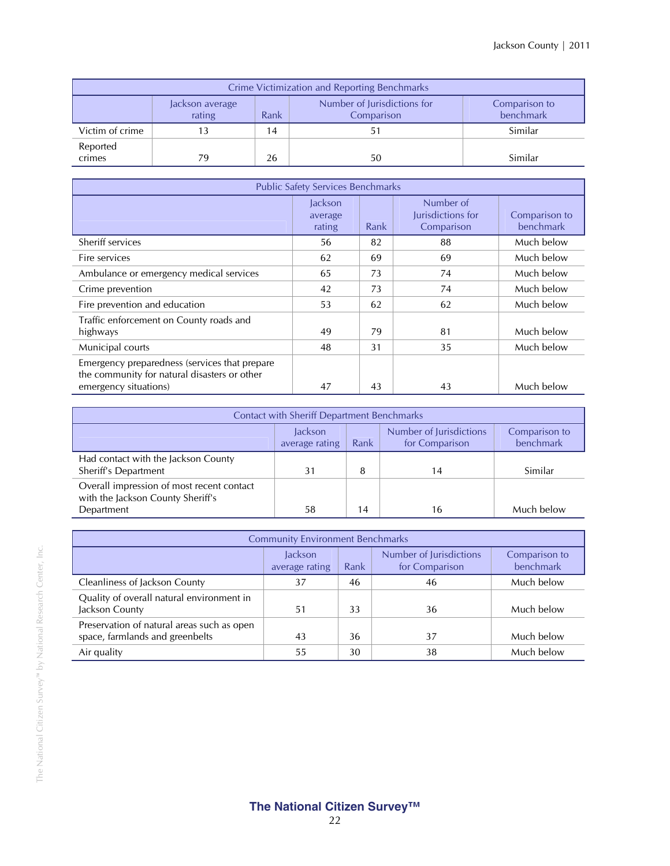| Crime Victimization and Reporting Benchmarks                                                                 |    |    |    |         |  |  |  |
|--------------------------------------------------------------------------------------------------------------|----|----|----|---------|--|--|--|
| Number of Jurisdictions for<br>Comparison to<br>Jackson average<br>benchmark<br>rating<br>Rank<br>Comparison |    |    |    |         |  |  |  |
| Victim of crime                                                                                              |    | 14 |    | Similar |  |  |  |
| Reported<br>crimes                                                                                           | 79 | 26 | 50 | Similar |  |  |  |

| <b>Public Safety Services Benchmarks</b>                                                                               |                              |      |                                              |                            |  |  |
|------------------------------------------------------------------------------------------------------------------------|------------------------------|------|----------------------------------------------|----------------------------|--|--|
|                                                                                                                        | lackson<br>average<br>rating | Rank | Number of<br>Jurisdictions for<br>Comparison | Comparison to<br>benchmark |  |  |
| Sheriff services                                                                                                       | 56                           | 82   | 88                                           | Much below                 |  |  |
| Fire services                                                                                                          | 62                           | 69   | 69                                           | Much below                 |  |  |
| Ambulance or emergency medical services                                                                                | 65                           | 73   | 74                                           | Much below                 |  |  |
| Crime prevention                                                                                                       | 42                           | 73   | 74                                           | Much below                 |  |  |
| Fire prevention and education                                                                                          | 53                           | 62   | 62                                           | Much below                 |  |  |
| Traffic enforcement on County roads and<br>highways                                                                    | 49                           | 79   | 81                                           | Much below                 |  |  |
| Municipal courts                                                                                                       | 48                           | 31   | 35                                           | Much below                 |  |  |
| Emergency preparedness (services that prepare<br>the community for natural disasters or other<br>emergency situations) | 47                           | 43   | 43                                           | Much below                 |  |  |

| <b>Contact with Sheriff Department Benchmarks</b>                                                            |    |    |    |            |  |  |  |
|--------------------------------------------------------------------------------------------------------------|----|----|----|------------|--|--|--|
| Number of Jurisdictions<br>Jackson<br>Comparison to<br>benchmark<br>for Comparison<br>average rating<br>Rank |    |    |    |            |  |  |  |
| Had contact with the Jackson County<br>Sheriff's Department                                                  | 31 | 8  | 14 | Similar    |  |  |  |
| Overall impression of most recent contact<br>with the Jackson County Sheriff's                               |    |    |    | Much below |  |  |  |
| Department                                                                                                   | 58 | 14 | 16 |            |  |  |  |

| <b>Community Environment Benchmarks</b>                                       |                           |      |                                           |                            |  |  |
|-------------------------------------------------------------------------------|---------------------------|------|-------------------------------------------|----------------------------|--|--|
|                                                                               | Jackson<br>average rating | Rank | Number of Jurisdictions<br>for Comparison | Comparison to<br>benchmark |  |  |
| Cleanliness of Jackson County                                                 | 37                        | 46   | 46                                        | Much below                 |  |  |
| Quality of overall natural environment in<br>Jackson County                   | 51                        | 33   | 36                                        | Much below                 |  |  |
| Preservation of natural areas such as open<br>space, farmlands and greenbelts | 43                        | 36   | 37                                        | Much below                 |  |  |
| Air quality                                                                   | 55                        | 30   | 38                                        | Much below                 |  |  |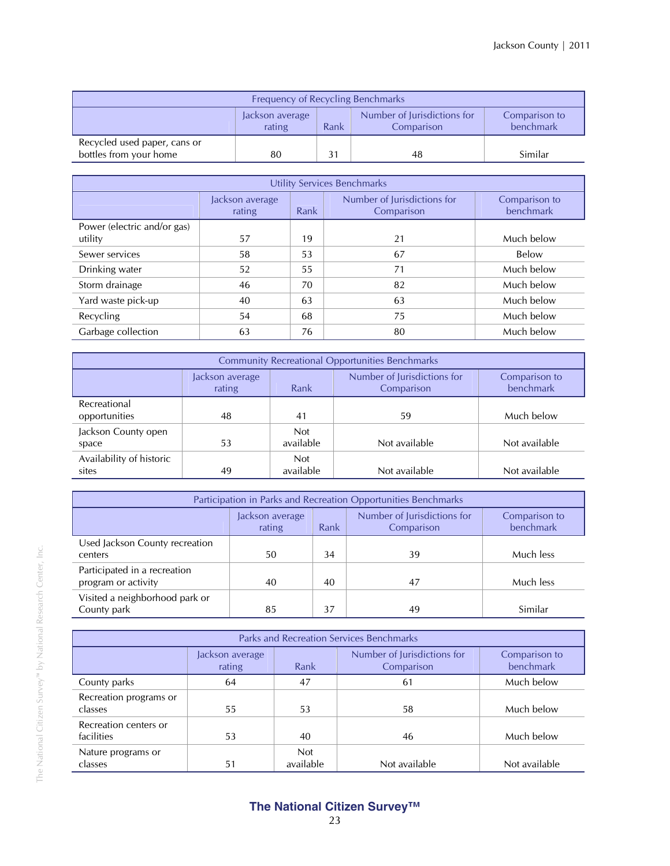| Frequency of Recycling Benchmarks                                                                            |    |  |    |         |  |
|--------------------------------------------------------------------------------------------------------------|----|--|----|---------|--|
| Number of Jurisdictions for<br>Comparison to<br>Jackson average<br>benchmark<br>Rank<br>rating<br>Comparison |    |  |    |         |  |
| Recycled used paper, cans or<br>bottles from your home                                                       | 80 |  | 48 | Similar |  |

| Utility Services Benchmarks            |                           |      |                                           |                            |  |  |  |
|----------------------------------------|---------------------------|------|-------------------------------------------|----------------------------|--|--|--|
|                                        | Jackson average<br>rating | Rank | Number of Jurisdictions for<br>Comparison | Comparison to<br>benchmark |  |  |  |
| Power (electric and/or gas)<br>utility | 57                        | 19   | 21                                        | Much below                 |  |  |  |
| Sewer services                         | 58                        | 53   | 67                                        | Below                      |  |  |  |
| Drinking water                         | 52                        | 55   | 71                                        | Much below                 |  |  |  |
| Storm drainage                         | 46                        | 70   | 82                                        | Much below                 |  |  |  |
| Yard waste pick-up                     | 40                        | 63   | 63                                        | Much below                 |  |  |  |
| Recycling                              | 54                        | 68   | 75                                        | Much below                 |  |  |  |
| Garbage collection                     | 63                        | 76   | 80                                        | Much below                 |  |  |  |

| <b>Community Recreational Opportunities Benchmarks</b> |                                                                                                              |                         |               |               |  |  |
|--------------------------------------------------------|--------------------------------------------------------------------------------------------------------------|-------------------------|---------------|---------------|--|--|
|                                                        | Number of Jurisdictions for<br>Comparison to<br>Jackson average<br>benchmark<br>rating<br>Rank<br>Comparison |                         |               |               |  |  |
| Recreational<br>opportunities                          | 48                                                                                                           | 41                      | 59            | Much below    |  |  |
| Jackson County open<br>space                           | 53                                                                                                           | <b>Not</b><br>available | Not available | Not available |  |  |
| Availability of historic<br>sites                      | 49                                                                                                           | <b>Not</b><br>available | Not available | Not available |  |  |

| Participation in Parks and Recreation Opportunities Benchmarks                                               |    |    |    |           |  |  |
|--------------------------------------------------------------------------------------------------------------|----|----|----|-----------|--|--|
| Number of Jurisdictions for<br>Comparison to<br>Jackson average<br>benchmark<br>rating<br>Rank<br>Comparison |    |    |    |           |  |  |
| Used Jackson County recreation<br>centers                                                                    | 50 | 34 | 39 | Much less |  |  |
| Participated in a recreation<br>program or activity                                                          | 40 | 40 | 47 | Much less |  |  |
| Visited a neighborhood park or<br>County park                                                                | 85 | 37 | 49 | Similar   |  |  |

| <b>Parks and Recreation Services Benchmarks</b> |                           |                         |                                           |                            |  |  |
|-------------------------------------------------|---------------------------|-------------------------|-------------------------------------------|----------------------------|--|--|
|                                                 | Jackson average<br>rating | Rank                    | Number of Jurisdictions for<br>Comparison | Comparison to<br>benchmark |  |  |
| County parks                                    | 64                        | 47                      | 61                                        | Much below                 |  |  |
| Recreation programs or<br>classes               | 55                        | 53                      | 58                                        | Much below                 |  |  |
| Recreation centers or<br>facilities             | 53                        | 40                      | 46                                        | Much below                 |  |  |
| Nature programs or<br>classes                   | 51                        | <b>Not</b><br>available | Not available                             | Not available              |  |  |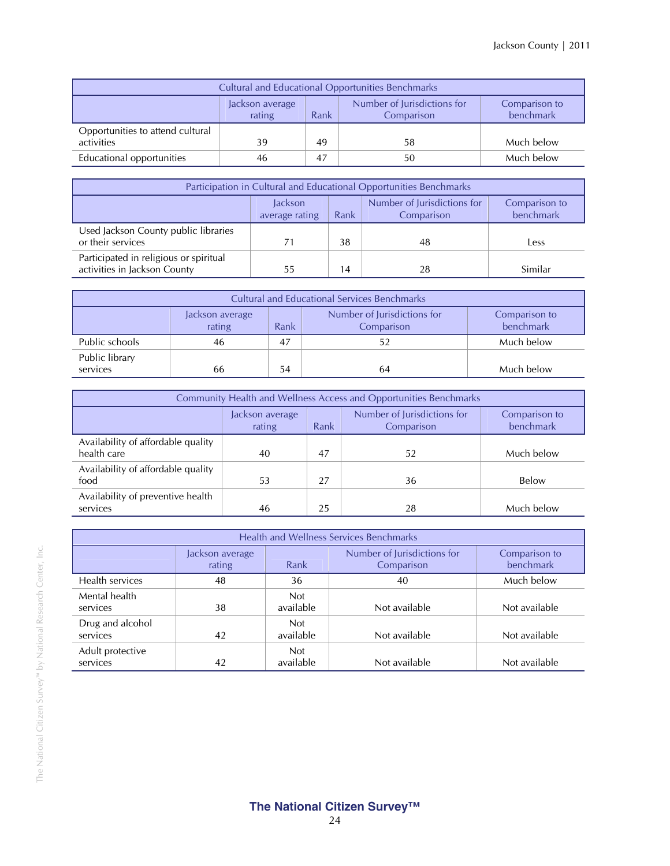| <b>Cultural and Educational Opportunities Benchmarks</b>                                                     |    |    |    |            |  |  |
|--------------------------------------------------------------------------------------------------------------|----|----|----|------------|--|--|
| Number of Jurisdictions for<br>Comparison to<br>Jackson average<br>benchmark<br>rating<br>Comparison<br>Rank |    |    |    |            |  |  |
| Opportunities to attend cultural<br>activities                                                               | 39 | 49 | 58 | Much below |  |  |
| Educational opportunities                                                                                    | 46 | 47 | 50 | Much below |  |  |

| Participation in Cultural and Educational Opportunities Benchmarks                                           |    |    |    |         |  |  |  |
|--------------------------------------------------------------------------------------------------------------|----|----|----|---------|--|--|--|
| Number of Jurisdictions for<br>Jackson<br>Comparison to<br>benchmark<br>Rank<br>Comparison<br>average rating |    |    |    |         |  |  |  |
| Used Jackson County public libraries<br>or their services                                                    | 71 | 38 | 48 | Less    |  |  |  |
| Participated in religious or spiritual<br>activities in Jackson County                                       | 55 | 14 | 28 | Similar |  |  |  |

| <b>Cultural and Educational Services Benchmarks</b> |                                                                                                              |    |    |            |  |  |  |
|-----------------------------------------------------|--------------------------------------------------------------------------------------------------------------|----|----|------------|--|--|--|
|                                                     | Number of Jurisdictions for<br>Comparison to<br>Jackson average<br>rating<br>benchmark<br>Rank<br>Comparison |    |    |            |  |  |  |
| Public schools                                      | 46                                                                                                           | 47 | 52 | Much below |  |  |  |
| Public library<br>services                          | 66                                                                                                           | 54 | 64 | Much below |  |  |  |

| Community Health and Wellness Access and Opportunities Benchmarks |                                                                                |    |    |            |  |  |  |
|-------------------------------------------------------------------|--------------------------------------------------------------------------------|----|----|------------|--|--|--|
|                                                                   | Number of Jurisdictions for<br>Jackson average<br>rating<br>Rank<br>Comparison |    |    |            |  |  |  |
| Availability of affordable quality<br>health care                 | 40                                                                             | 47 | 52 | Much below |  |  |  |
| Availability of affordable quality<br>food                        | 53                                                                             | 27 | 36 | Below      |  |  |  |
| Availability of preventive health<br>services                     | 46                                                                             | 25 | 28 | Much below |  |  |  |

| <b>Health and Wellness Services Benchmarks</b> |                           |                         |                                           |                            |  |  |
|------------------------------------------------|---------------------------|-------------------------|-------------------------------------------|----------------------------|--|--|
|                                                | Jackson average<br>rating | Rank                    | Number of Jurisdictions for<br>Comparison | Comparison to<br>benchmark |  |  |
| Health services                                | 48                        | 36                      | 40                                        | Much below                 |  |  |
| Mental health<br>services                      | 38                        | <b>Not</b><br>available | Not available                             | Not available              |  |  |
| Drug and alcohol<br>services                   | 42                        | <b>Not</b><br>available | Not available                             | Not available              |  |  |
| Adult protective<br>services                   | 42                        | <b>Not</b><br>available | Not available                             | Not available              |  |  |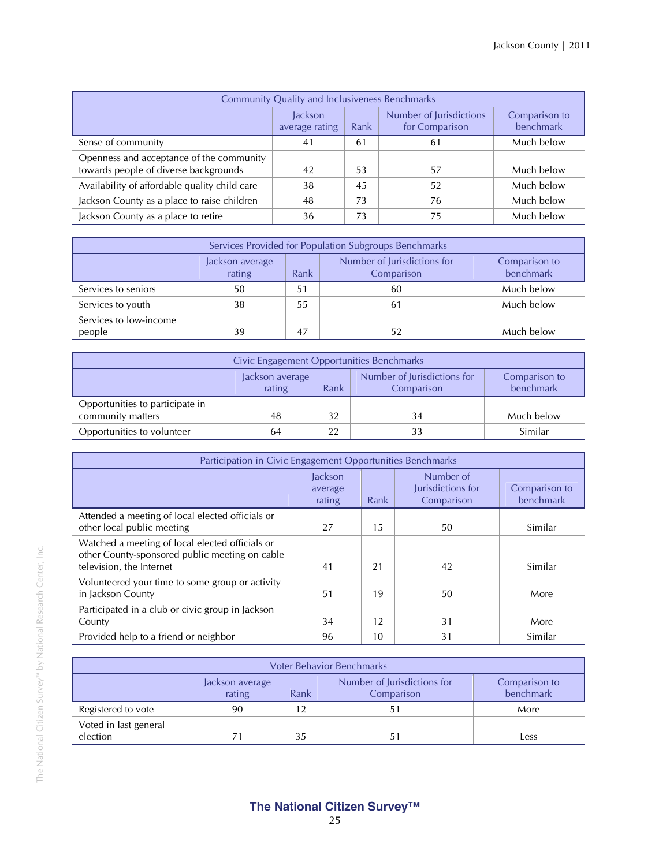| <b>Community Quality and Inclusiveness Benchmarks</b>                             |                           |      |                                           |                            |  |  |  |
|-----------------------------------------------------------------------------------|---------------------------|------|-------------------------------------------|----------------------------|--|--|--|
|                                                                                   | Jackson<br>average rating | Rank | Number of Jurisdictions<br>for Comparison | Comparison to<br>benchmark |  |  |  |
| Sense of community                                                                | 41                        | 61   | 61                                        | Much below                 |  |  |  |
| Openness and acceptance of the community<br>towards people of diverse backgrounds | 42                        | 53   | 57                                        | Much below                 |  |  |  |
| Availability of affordable quality child care                                     | 38                        | 45   | 52                                        | Much below                 |  |  |  |
| Jackson County as a place to raise children                                       | 48                        | 73   | 76                                        | Much below                 |  |  |  |
| Jackson County as a place to retire                                               | 36                        | 73   | 75                                        | Much below                 |  |  |  |

| Services Provided for Population Subgroups Benchmarks |                                                                                                              |    |    |            |  |  |  |
|-------------------------------------------------------|--------------------------------------------------------------------------------------------------------------|----|----|------------|--|--|--|
|                                                       | Number of Jurisdictions for<br>Comparison to<br>Jackson average<br>benchmark<br>rating<br>Comparison<br>Rank |    |    |            |  |  |  |
| Services to seniors                                   | 50                                                                                                           | 51 | 60 | Much below |  |  |  |
| Services to youth                                     | 38                                                                                                           | 55 | 61 | Much below |  |  |  |
| Services to low-income<br>people                      | 39                                                                                                           | 47 | 52 | Much below |  |  |  |

| Civic Engagement Opportunities Benchmarks            |                                                                                                              |    |    |            |  |  |
|------------------------------------------------------|--------------------------------------------------------------------------------------------------------------|----|----|------------|--|--|
|                                                      | Number of Jurisdictions for<br>Comparison to<br>Jackson average<br>benchmark<br>rating<br>Comparison<br>Rank |    |    |            |  |  |
| Opportunities to participate in<br>community matters | 48                                                                                                           | 32 | 34 | Much below |  |  |
| Opportunities to volunteer                           | 64                                                                                                           | 22 | 33 | Similar    |  |  |

| Participation in Civic Engagement Opportunities Benchmarks                                                                    |                              |      |                                              |                            |  |  |
|-------------------------------------------------------------------------------------------------------------------------------|------------------------------|------|----------------------------------------------|----------------------------|--|--|
|                                                                                                                               | Jackson<br>average<br>rating | Rank | Number of<br>Jurisdictions for<br>Comparison | Comparison to<br>benchmark |  |  |
| Attended a meeting of local elected officials or<br>other local public meeting                                                | 27                           | 15   | 50                                           | Similar                    |  |  |
| Watched a meeting of local elected officials or<br>other County-sponsored public meeting on cable<br>television, the Internet | 41                           | 21   | 42                                           | Similar                    |  |  |
| Volunteered your time to some group or activity<br>in Jackson County                                                          | 51                           | 19   | 50                                           | More                       |  |  |
| Participated in a club or civic group in Jackson<br>County                                                                    | 34                           | 12   | 31                                           | More                       |  |  |
| Provided help to a friend or neighbor                                                                                         | 96                           | 10   | 31                                           | Similar                    |  |  |

| <b>Voter Behavior Benchmarks</b>                                                                             |    |    |  |      |  |  |
|--------------------------------------------------------------------------------------------------------------|----|----|--|------|--|--|
| Number of Jurisdictions for<br>Comparison to<br>Jackson average<br>benchmark<br>rating<br>Rank<br>Comparison |    |    |  |      |  |  |
| Registered to vote                                                                                           | 90 | 12 |  | More |  |  |
| Voted in last general<br>election                                                                            | 71 | 35 |  | Less |  |  |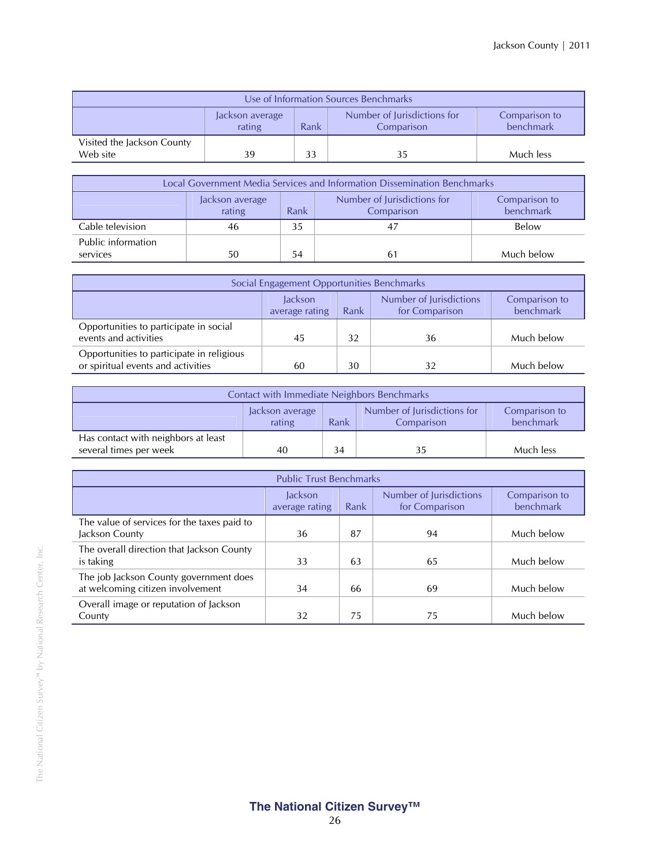| Use of Information Sources Benchmarks                                                                        |    |    |    |           |  |  |
|--------------------------------------------------------------------------------------------------------------|----|----|----|-----------|--|--|
| Number of Jurisdictions for<br>Comparison to<br>Jackson average<br>benchmark<br>Rank<br>rating<br>Comparison |    |    |    |           |  |  |
| Visited the Jackson County<br>Web site                                                                       | 39 | 33 | 35 | Much less |  |  |

| Local Government Media Services and Information Dissemination Benchmarks |                                                                                                              |    |     |            |  |  |  |
|--------------------------------------------------------------------------|--------------------------------------------------------------------------------------------------------------|----|-----|------------|--|--|--|
|                                                                          | Number of Jurisdictions for<br>Comparison to<br>Jackson average<br>benchmark<br>rating<br>Comparison<br>Rank |    |     |            |  |  |  |
| Cable television                                                         | 46                                                                                                           | 35 | -47 | Below      |  |  |  |
| Public information                                                       |                                                                                                              |    |     |            |  |  |  |
| services                                                                 | 50                                                                                                           | 54 | 61  | Much below |  |  |  |

| Social Engagement Opportunities Benchmarks                                                                   |    |    |    |            |  |  |  |
|--------------------------------------------------------------------------------------------------------------|----|----|----|------------|--|--|--|
| Number of Jurisdictions<br>Jackson<br>Comparison to<br>benchmark<br>for Comparison<br>average rating<br>Rank |    |    |    |            |  |  |  |
| Opportunities to participate in social<br>events and activities                                              | 45 | 32 | 36 | Much below |  |  |  |
| Opportunities to participate in religious<br>or spiritual events and activities                              | 60 | 30 | 32 | Much below |  |  |  |

| Contact with Immediate Neighbors Benchmarks                                                                  |    |  |  |           |  |
|--------------------------------------------------------------------------------------------------------------|----|--|--|-----------|--|
| Number of Jurisdictions for<br>Comparison to<br>Jackson average<br>benchmark<br>rating<br>Rank<br>Comparison |    |  |  |           |  |
| Has contact with neighbors at least<br>several times per week                                                | 40 |  |  | Much less |  |

| <b>Public Trust Benchmarks</b>                                             |                           |      |                                           |                            |  |
|----------------------------------------------------------------------------|---------------------------|------|-------------------------------------------|----------------------------|--|
|                                                                            | Jackson<br>average rating | Rank | Number of Jurisdictions<br>for Comparison | Comparison to<br>benchmark |  |
| The value of services for the taxes paid to<br>Jackson County              | 36                        | 87   | 94                                        | Much below                 |  |
| The overall direction that Jackson County<br>is taking                     | 33                        | 63   | 65                                        | Much below                 |  |
| The job Jackson County government does<br>at welcoming citizen involvement | 34                        | 66   | 69                                        | Much below                 |  |
| Overall image or reputation of Jackson<br>County                           | 32                        | 75   | 75                                        | Much below                 |  |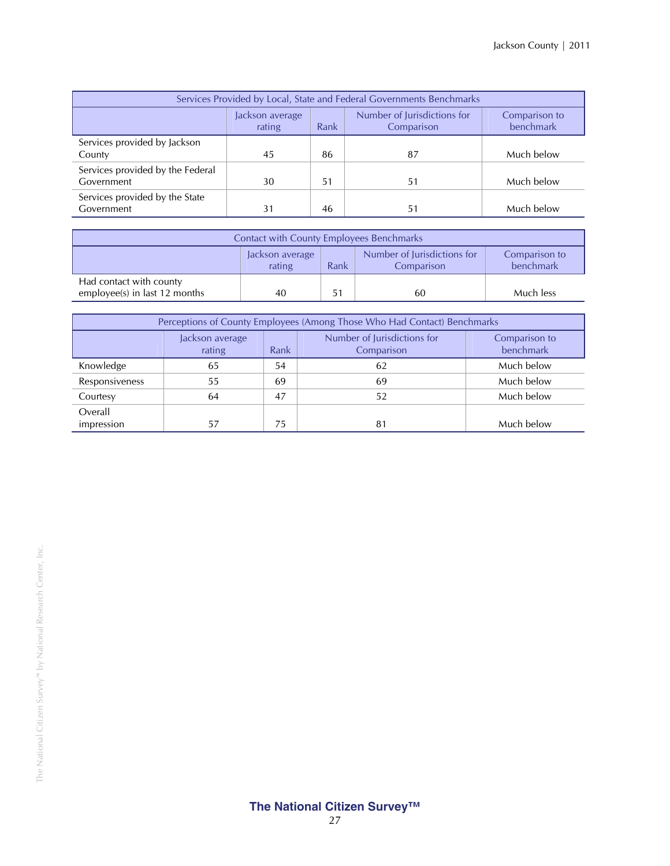| Services Provided by Local, State and Federal Governments Benchmarks |                           |      |                                           |                            |
|----------------------------------------------------------------------|---------------------------|------|-------------------------------------------|----------------------------|
|                                                                      | Jackson average<br>rating | Rank | Number of Jurisdictions for<br>Comparison | Comparison to<br>benchmark |
| Services provided by Jackson<br>County                               | 45                        | 86   | 87                                        | Much below                 |
| Services provided by the Federal<br>Government                       | 30                        | .51  | 51                                        | Much below                 |
| Services provided by the State<br>Government                         | 31                        | 46   | 51                                        | Much below                 |

| <b>Contact with County Employees Benchmarks</b>          |                           |      |                                           |                            |
|----------------------------------------------------------|---------------------------|------|-------------------------------------------|----------------------------|
|                                                          | Jackson average<br>rating | Rank | Number of Jurisdictions for<br>Comparison | Comparison to<br>benchmark |
| Had contact with county<br>employee(s) in last 12 months | 40                        | 51   | 60                                        | Much less                  |

| Perceptions of County Employees (Among Those Who Had Contact) Benchmarks |                           |      |                                           |                            |
|--------------------------------------------------------------------------|---------------------------|------|-------------------------------------------|----------------------------|
|                                                                          | Jackson average<br>rating | Rank | Number of Jurisdictions for<br>Comparison | Comparison to<br>benchmark |
| Knowledge                                                                | 65                        | 54   | 62                                        | Much below                 |
| Responsiveness                                                           | 55                        | 69   | 69                                        | Much below                 |
| Courtesy                                                                 | 64                        | 47   | 52                                        | Much below                 |
| Overall<br>impression                                                    | 57                        | 75   | 81                                        | Much below                 |